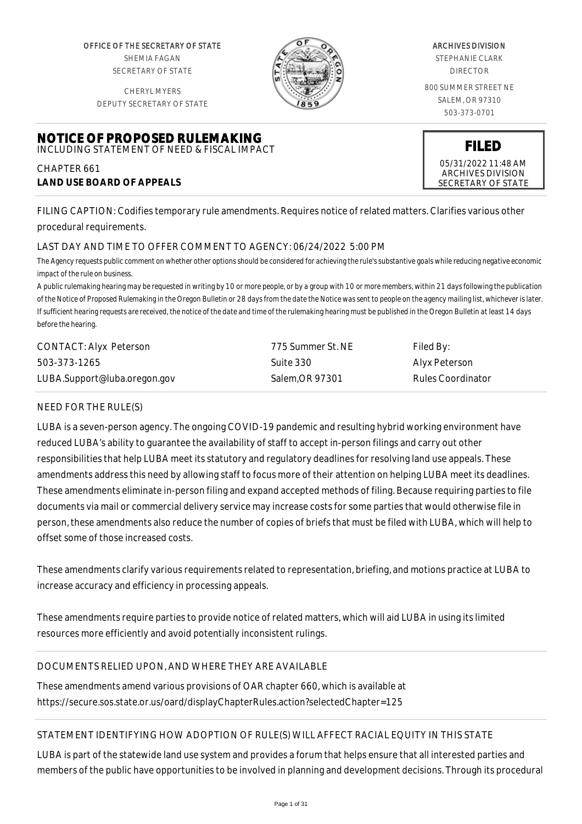OFFICE OF THE SECRETARY OF STATE SHEMIA FAGAN SECRETARY OF STATE

CHERYL MYERS



#### ARCHIVES DIVISION

STEPHANIE CLARK DIRECTOR

800 SUMMER STREET NE SALEM, OR 97310 503-373-0701

DEPUTY SECRETARY OF STATE

#### **NOTICE OF PROPOSED RULEMAKING** INCLUDING STATEMENT OF NEED & FISCAL IMPACT

CHAPTER 661 **LAND USE BOARD OF APPEALS**

FILING CAPTION: Codifies temporary rule amendments. Requires notice of related matters. Clarifies various other procedural requirements.

# LAST DAY AND TIME TO OFFER COMMENT TO AGENCY: 06/24/2022 5:00 PM

*The Agency requests public comment on whether other options should be considered for achieving the rule's substantive goals while reducing negative economic impact of the rule on business.*

*A public rulemaking hearing may be requested in writing by 10 or more people, or by a group with 10 or more members, within 21 days following the publication of the Notice of Proposed Rulemaking in the Oregon Bulletin or 28 days from the date the Notice was sent to people on the agency mailing list, whichever is later. If sufficient hearing requests are received, the notice of the date and time of the rulemaking hearing must be published in the Oregon Bulletin at least 14 days before the hearing.*

| CONTACT: Alyx Peterson       | 775 Summer St. NE | Filed By:                |
|------------------------------|-------------------|--------------------------|
| 503-373-1265                 | Suite 330         | Alyx Peterson            |
| LUBA.Support@luba.oregon.gov | Salem, OR 97301   | <b>Rules Coordinator</b> |

# NEED FOR THE RULE(S)

LUBA is a seven-person agency. The ongoing COVID-19 pandemic and resulting hybrid working environment have reduced LUBA's ability to guarantee the availability of staff to accept in-person filings and carry out other responsibilities that help LUBA meet its statutory and regulatory deadlines for resolving land use appeals. These amendments address this need by allowing staff to focus more of their attention on helping LUBA meet its deadlines. These amendments eliminate in-person filing and expand accepted methods of filing. Because requiring parties to file documents via mail or commercial delivery service may increase costs for some parties that would otherwise file in person, these amendments also reduce the number of copies of briefs that must be filed with LUBA, which will help to offset some of those increased costs.

These amendments clarify various requirements related to representation, briefing, and motions practice at LUBA to increase accuracy and efficiency in processing appeals.

These amendments require parties to provide notice of related matters, which will aid LUBA in using its limited resources more efficiently and avoid potentially inconsistent rulings.

# DOCUMENTS RELIED UPON, AND WHERE THEY ARE AVAILABLE

These amendments amend various provisions of OAR chapter 660, which is available at https://secure.sos.state.or.us/oard/displayChapterRules.action?selectedChapter=125

# STATEMENT IDENTIFYING HOW ADOPTION OF RULE(S) WILL AFFECT RACIAL EQUITY IN THIS STATE

LUBA is part of the statewide land use system and provides a forum that helps ensure that all interested parties and members of the public have opportunities to be involved in planning and development decisions. Through its procedural

**FILED**

05/31/2022 11:48 AM ARCHIVES DIVISION SECRETARY OF STATE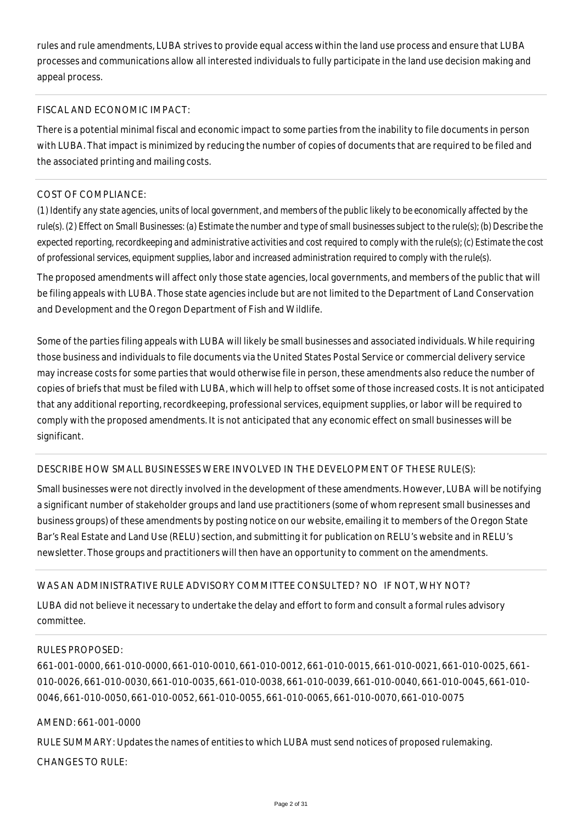rules and rule amendments, LUBA strives to provide equal access within the land use process and ensure that LUBA processes and communications allow all interested individuals to fully participate in the land use decision making and appeal process.

### FISCAL AND ECONOMIC IMPACT:

There is a potential minimal fiscal and economic impact to some parties from the inability to file documents in person with LUBA. That impact is minimized by reducing the number of copies of documents that are required to be filed and the associated printing and mailing costs.

## COST OF COMPLIANCE:

*(1) Identify any state agencies, units of local government, and members of the public likely to be economically affected by the rule(s). (2) Effect on Small Businesses: (a) Estimate the number and type of small businesses subject to the rule(s); (b) Describe the expected reporting, recordkeeping and administrative activities and cost required to comply with the rule(s); (c) Estimate the cost of professional services, equipment supplies, labor and increased administration required to comply with the rule(s).*

The proposed amendments will affect only those state agencies, local governments, and members of the public that will be filing appeals with LUBA. Those state agencies include but are not limited to the Department of Land Conservation and Development and the Oregon Department of Fish and Wildlife.

Some of the parties filing appeals with LUBA will likely be small businesses and associated individuals. While requiring those business and individuals to file documents via the United States Postal Service or commercial delivery service may increase costs for some parties that would otherwise file in person, these amendments also reduce the number of copies of briefs that must be filed with LUBA, which will help to offset some of those increased costs. It is not anticipated that any additional reporting, recordkeeping, professional services, equipment supplies, or labor will be required to comply with the proposed amendments. It is not anticipated that any economic effect on small businesses will be significant.

# DESCRIBE HOW SMALL BUSINESSES WERE INVOLVED IN THE DEVELOPMENT OF THESE RULE(S):

Small businesses were not directly involved in the development of these amendments. However, LUBA will be notifying a significant number of stakeholder groups and land use practitioners (some of whom represent small businesses and business groups) of these amendments by posting notice on our website, emailing it to members of the Oregon State Bar's Real Estate and Land Use (RELU) section, and submitting it for publication on RELU's website and in RELU's newsletter. Those groups and practitioners will then have an opportunity to comment on the amendments.

# WAS AN ADMINISTRATIVE RULE ADVISORY COMMITTEE CONSULTED? NO IF NOT, WHY NOT?

LUBA did not believe it necessary to undertake the delay and effort to form and consult a formal rules advisory committee.

## RULES PROPOSED:

661-001-0000, 661-010-0000, 661-010-0010, 661-010-0012, 661-010-0015, 661-010-0021, 661-010-0025, 661- 010-0026, 661-010-0030, 661-010-0035, 661-010-0038, 661-010-0039, 661-010-0040, 661-010-0045, 661-010- 0046, 661-010-0050, 661-010-0052, 661-010-0055, 661-010-0065, 661-010-0070, 661-010-0075

#### AMEND: 661-001-0000

RULE SUMMARY: Updates the names of entities to which LUBA must send notices of proposed rulemaking. CHANGES TO RULE: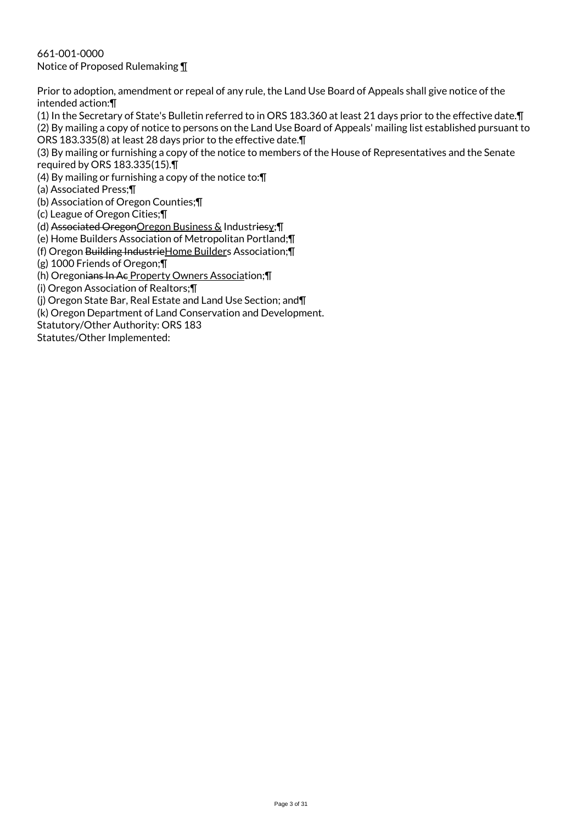661-001-0000 Notice of Proposed Rulemaking ¶

Prior to adoption, amendment or repeal of any rule, the Land Use Board of Appeals shall give notice of the intended action:¶

(1) In the Secretary of State's Bulletin referred to in ORS 183.360 at least 21 days prior to the effective date.¶ (2) By mailing a copy of notice to persons on the Land Use Board of Appeals' mailing list established pursuant to ORS 183.335(8) at least 28 days prior to the effective date.¶

(3) By mailing or furnishing a copy of the notice to members of the House of Representatives and the Senate required by ORS 183.335(15).¶

(4) By mailing or furnishing a copy of the notice to:¶

(a) Associated Press;¶

(b) Association of Oregon Counties;¶

(c) League of Oregon Cities;¶

(d) Associated OregonOregon Business & Industriesy;¶

(e) Home Builders Association of Metropolitan Portland;¶

(f) Oregon Building IndustrieHome Builders Association;¶

(g) 1000 Friends of Oregon;¶

(h) Oregonians In Ac Property Owners Association;¶

(i) Oregon Association of Realtors;¶

(j) Oregon State Bar, Real Estate and Land Use Section; and¶

(k) Oregon Department of Land Conservation and Development.

Statutory/Other Authority: ORS 183

Statutes/Other Implemented: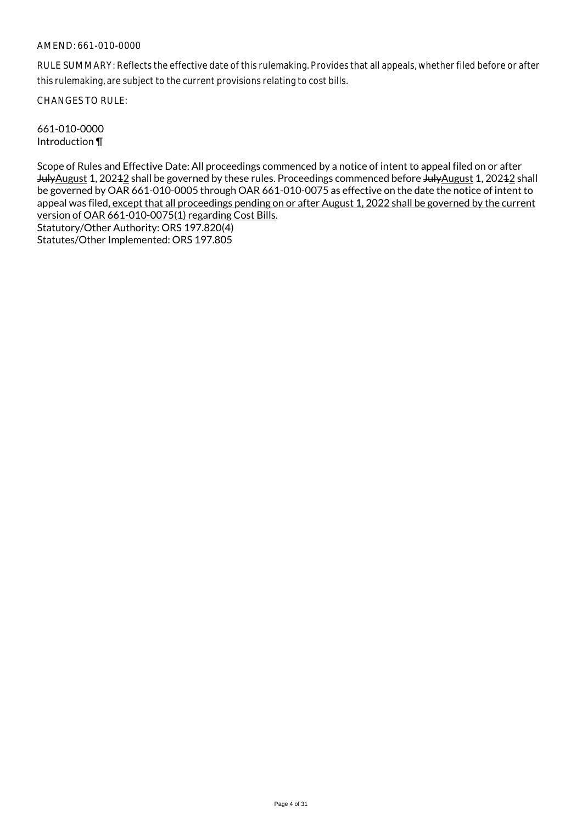RULE SUMMARY: Reflects the effective date of this rulemaking. Provides that all appeals, whether filed before or after this rulemaking, are subject to the current provisions relating to cost bills.

CHANGES TO RULE:

661-010-0000 Introduction ¶

Scope of Rules and Effective Date: All proceedings commenced by a notice of intent to appeal filed on or after JulyAugust 1, 20242 shall be governed by these rules. Proceedings commenced before JulyAugust 1, 20242 shall be governed by OAR 661-010-0005 through OAR 661-010-0075 as effective on the date the notice of intent to appeal was filed, except that all proceedings pending on or after August 1, 2022 shall be governed by the current version of OAR 661-010-0075(1) regarding Cost Bills. Statutory/Other Authority: ORS 197.820(4)

Statutes/Other Implemented: ORS 197.805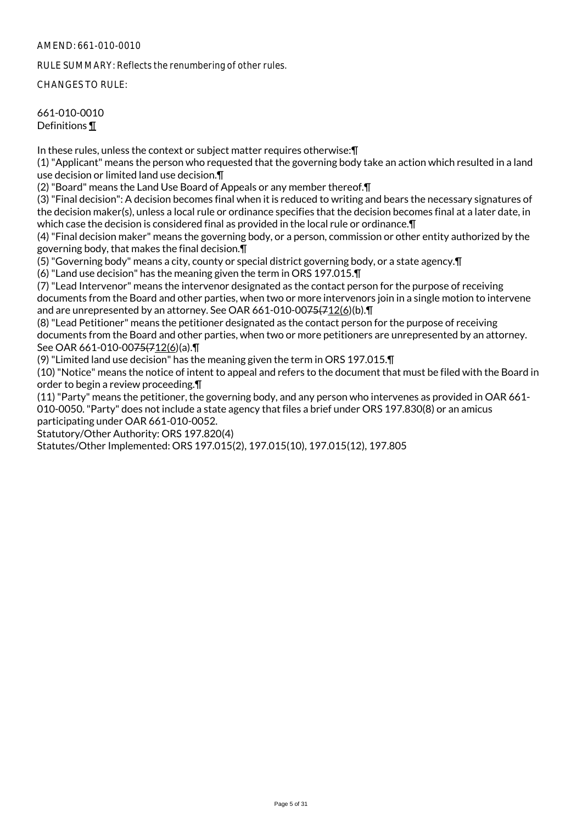RULE SUMMARY: Reflects the renumbering of other rules.

CHANGES TO RULE:

## 661-010-0010 Definitions ¶

In these rules, unless the context or subject matter requires otherwise:¶

(1) "Applicant" means the person who requested that the governing body take an action which resulted in a land use decision or limited land use decision.¶

(2) "Board" means the Land Use Board of Appeals or any member thereof.¶

(3) "Final decision": A decision becomes final when it is reduced to writing and bears the necessary signatures of the decision maker(s), unless a local rule or ordinance specifies that the decision becomes final at a later date, in which case the decision is considered final as provided in the local rule or ordinance.¶

(4) "Final decision maker" means the governing body, or a person, commission or other entity authorized by the governing body, that makes the final decision.¶

(5) "Governing body" means a city, county or special district governing body, or a state agency.¶

(6) "Land use decision" has the meaning given the term in ORS 197.015.¶

(7) "Lead Intervenor" means the intervenor designated as the contact person for the purpose of receiving documents from the Board and other parties, when two or more intervenors join in a single motion to intervene and are unrepresented by an attorney. See OAR 661-010-0075(712(6)(b).

(8) "Lead Petitioner" means the petitioner designated as the contact person for the purpose of receiving documents from the Board and other parties, when two or more petitioners are unrepresented by an attorney. See OAR 661-010-00<del>75(7</del>12(6)(a).¶

(9) "Limited land use decision" has the meaning given the term in ORS 197.015.¶

(10) "Notice" means the notice of intent to appeal and refers to the document that must be filed with the Board in order to begin a review proceeding.¶

(11) "Party" means the petitioner, the governing body, and any person who intervenes as provided in OAR 661- 010-0050. "Party" does not include a state agency that files a brief under ORS 197.830(8) or an amicus participating under OAR 661-010-0052.

Statutory/Other Authority: ORS 197.820(4)

Statutes/Other Implemented: ORS 197.015(2), 197.015(10), 197.015(12), 197.805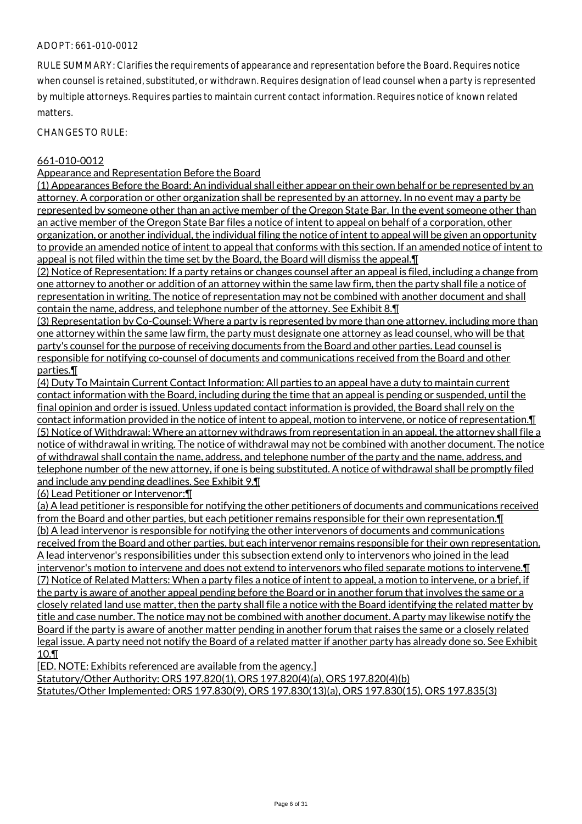## ADOPT: 661-010-0012

RULE SUMMARY: Clarifies the requirements of appearance and representation before the Board. Requires notice when counsel is retained, substituted, or withdrawn. Requires designation of lead counsel when a party is represented by multiple attorneys. Requires parties to maintain current contact information. Requires notice of known related matters.

CHANGES TO RULE:

## 661-010-0012

## Appearance and Representation Before the Board

(1) Appearances Before the Board: An individual shall either appear on their own behalf or be represented by an attorney. A corporation or other organization shall be represented by an attorney. In no event may a party be represented by someone other than an active member of the Oregon State Bar. In the event someone other than an active member of the Oregon State Bar files a notice of intent to appeal on behalf of a corporation, other organization, or another individual, the individual filing the notice of intent to appeal will be given an opportunity to provide an amended notice of intent to appeal that conforms with this section. If an amended notice of intent to appeal is not filed within the time set by the Board, the Board will dismiss the appeal. I

(2) Notice of Representation: If a party retains or changes counsel after an appeal is filed, including a change from one attorney to another or addition of an attorney within the same law firm, then the party shall file a notice of representation in writing. The notice of representation may not be combined with another document and shall contain the name, address, and telephone number of the attorney. See Exhibit 8.¶

(3) Representation by Co-Counsel: Where a party is represented by more than one attorney, including more than one attorney within the same law firm, the party must designate one attorney as lead counsel, who will be that party's counsel for the purpose of receiving documents from the Board and other parties. Lead counsel is responsible for notifying co-counsel of documents and communications received from the Board and other parties.¶

(4) Duty To Maintain Current Contact Information: All parties to an appeal have a duty to maintain current contact information with the Board, including during the time that an appeal is pending or suspended, until the final opinion and order is issued. Unless updated contact information is provided, the Board shall rely on the contact information provided in the notice of intent to appeal, motion to intervene, or notice of representation.¶ (5) Notice of Withdrawal: Where an attorney withdraws from representation in an appeal, the attorney shall file a notice of withdrawal in writing. The notice of withdrawal may not be combined with another document. The notice of withdrawal shall contain the name, address, and telephone number of the party and the name, address, and telephone number of the new attorney, if one is being substituted. A notice of withdrawal shall be promptly filed and include any pending deadlines. See Exhibit 9.¶

(6) Lead Petitioner or Intervenor:¶

(a) A lead petitioner is responsible for notifying the other petitioners of documents and communications received from the Board and other parties, but each petitioner remains responsible for their own representation. I (b) A lead intervenor is responsible for notifying the other intervenors of documents and communications received from the Board and other parties, but each intervenor remains responsible for their own representation. A lead intervenor's responsibilities under this subsection extend only to intervenors who joined in the lead intervenor's motion to intervene and does not extend to intervenors who filed separate motions to intervene.¶ (7) Notice of Related Matters: When a party files a notice of intent to appeal, a motion to intervene, or a brief, if the party is aware of another appeal pending before the Board or in another forum that involves the same or a closely related land use matter, then the party shall file a notice with the Board identifying the related matter by title and case number. The notice may not be combined with another document. A party may likewise notify the Board if the party is aware of another matter pending in another forum that raises the same or a closely related legal issue. A party need not notify the Board of a related matter if another party has already done so. See Exhibit 10.¶

[ED. NOTE: Exhibits referenced are available from the agency.]

Statutory/Other Authority: ORS 197.820(1), ORS 197.820(4)(a), ORS 197.820(4)(b) Statutes/Other Implemented: ORS 197.830(9), ORS 197.830(13)(a), ORS 197.830(15), ORS 197.835(3)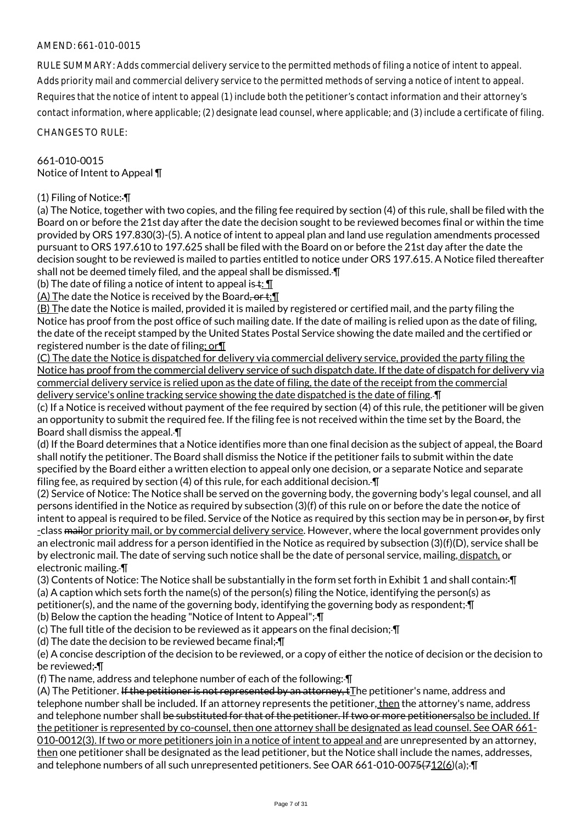RULE SUMMARY: Adds commercial delivery service to the permitted methods of filing a notice of intent to appeal. Adds priority mail and commercial delivery service to the permitted methods of serving a notice of intent to appeal. Requires that the notice of intent to appeal (1) include both the petitioner's contact information and their attorney's contact information, where applicable; (2) designate lead counsel, where applicable; and (3) include a certificate of filing.

CHANGES TO RULE:

#### 661-010-0015 Notice of Intent to Appeal ¶

## (1) Filing of Notice: ¶

(a) The Notice, together with two copies, and the filing fee required by section (4) of this rule, shall be filed with the Board on or before the 21st day after the date the decision sought to be reviewed becomes final or within the time provided by ORS 197.830(3)-(5). A notice of intent to appeal plan and land use regulation amendments processed pursuant to ORS 197.610 to 197.625 shall be filed with the Board on or before the 21st day after the date the decision sought to be reviewed is mailed to parties entitled to notice under ORS 197.615. A Notice filed thereafter shall not be deemed timely filed, and the appeal shall be dismissed. ¶

(b) The date of filing a notice of intent to appeal is  $\pm$ :  $\P$ 

(A) The date the Notice is received by the Board,  $er t$ ;  $\P$ 

(B) The date the Notice is mailed, provided it is mailed by registered or certified mail, and the party filing the Notice has proof from the post office of such mailing date. If the date of mailing is relied upon as the date of filing, the date of the receipt stamped by the United States Postal Service showing the date mailed and the certified or registered number is the date of filing; or¶

(C) The date the Notice is dispatched for delivery via commercial delivery service, provided the party filing the Notice has proof from the commercial delivery service of such dispatch date. If the date of dispatch for delivery via commercial delivery service is relied upon as the date of filing, the date of the receipt from the commercial delivery service's online tracking service showing the date dispatched is the date of filing. ¶

(c) If a Notice is received without payment of the fee required by section (4) of this rule, the petitioner will be given an opportunity to submit the required fee. If the filing fee is not received within the time set by the Board, the Board shall dismiss the appeal. ¶

(d) If the Board determines that a Notice identifies more than one final decision as the subject of appeal, the Board shall notify the petitioner. The Board shall dismiss the Notice if the petitioner fails to submit within the date specified by the Board either a written election to appeal only one decision, or a separate Notice and separate filing fee, as required by section (4) of this rule, for each additional decision. ¶

(2) Service of Notice: The Notice shall be served on the governing body, the governing body's legal counsel, and all persons identified in the Notice as required by subsection (3)(f) of this rule on or before the date the notice of intent to appeal is required to be filed. Service of the Notice as required by this section may be in person or, by first -class mailor priority mail, or by commercial delivery service. However, where the local government provides only an electronic mail address for a person identified in the Notice as required by subsection (3)(f)(D), service shall be by electronic mail. The date of serving such notice shall be the date of personal service, mailing, dispatch, or electronic mailing. ¶

(3) Contents of Notice: The Notice shall be substantially in the form set forth in Exhibit 1 and shall contain: ¶ (a) A caption which sets forth the name(s) of the person(s) filing the Notice, identifying the person(s) as petitioner(s), and the name of the governing body, identifying the governing body as respondent;-

(b) Below the caption the heading "Notice of Intent to Appeal"; ¶

(c) The full title of the decision to be reviewed as it appears on the final decision; ¶

(d) The date the decision to be reviewed became final; ¶

(e) A concise description of the decision to be reviewed, or a copy of either the notice of decision or the decision to be reviewed; ¶

(f) The name, address and telephone number of each of the following: ¶

(A) The Petitioner. If the petitioner is not represented by an attorney, tThe petitioner's name, address and telephone number shall be included. If an attorney represents the petitioner, then the attorney's name, address and telephone number shall be substituted for that of the petitioner. If two or more petitionersalso be included. If the petitioner is represented by co-counsel, then one attorney shall be designated as lead counsel. See OAR 661-010-0012(3). If two or more petitioners join in a notice of intent to appeal and are unrepresented by an attorney, then one petitioner shall be designated as the lead petitioner, but the Notice shall include the names, addresses, and telephone numbers of all such unrepresented petitioners. See OAR 661-010-00<del>75(712(6</del>)(a);- $\Pi$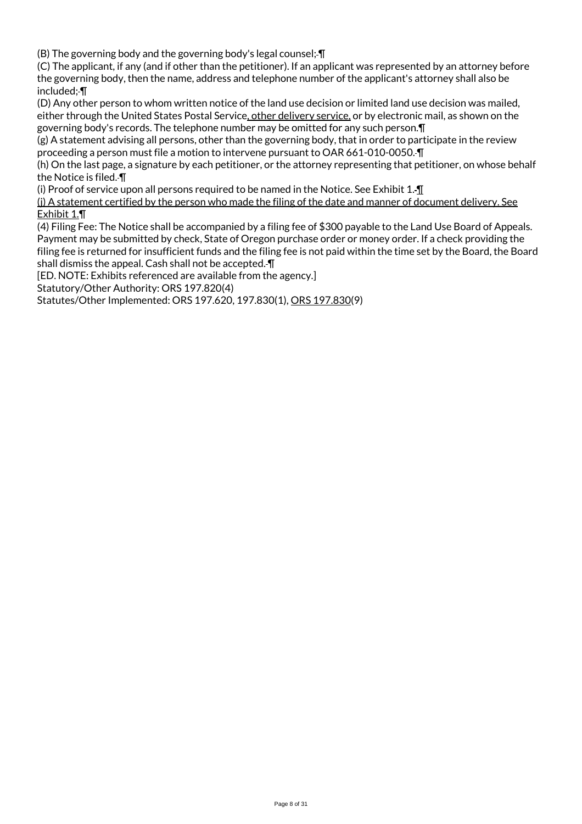(B) The governing body and the governing body's legal counsel; ¶

(C) The applicant, if any (and if other than the petitioner). If an applicant was represented by an attorney before the governing body, then the name, address and telephone number of the applicant's attorney shall also be included; ¶

(D) Any other person to whom written notice of the land use decision or limited land use decision was mailed, either through the United States Postal Service, other delivery service, or by electronic mail, as shown on the governing body's records. The telephone number may be omitted for any such person.¶

(g) A statement advising all persons, other than the governing body, that in order to participate in the review proceeding a person must file a motion to intervene pursuant to OAR 661-010-0050. ¶

(h) On the last page, a signature by each petitioner, or the attorney representing that petitioner, on whose behalf the Notice is filed. ¶

(i) Proof of service upon all persons required to be named in the Notice. See Exhibit 1. ¶

(j) A statement certified by the person who made the filing of the date and manner of document delivery. See Exhibit 1.¶

(4) Filing Fee: The Notice shall be accompanied by a filing fee of \$300 payable to the Land Use Board of Appeals. Payment may be submitted by check, State of Oregon purchase order or money order. If a check providing the filing fee is returned for insufficient funds and the filing fee is not paid within the time set by the Board, the Board shall dismiss the appeal. Cash shall not be accepted. ¶

[ED. NOTE: Exhibits referenced are available from the agency.]

Statutory/Other Authority: ORS 197.820(4)

Statutes/Other Implemented: ORS 197.620, 197.830(1), ORS 197.830(9)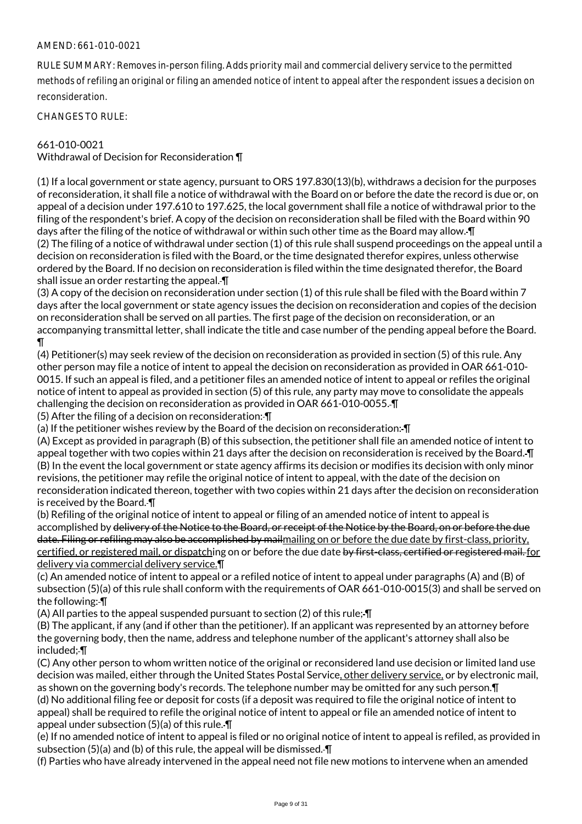RULE SUMMARY: Removes in-person filing. Adds priority mail and commercial delivery service to the permitted methods of refiling an original or filing an amended notice of intent to appeal after the respondent issues a decision on reconsideration.

CHANGES TO RULE:

## 661-010-0021

Withdrawal of Decision for Reconsideration ¶

(1) If a local government or state agency, pursuant to ORS 197.830(13)(b), withdraws a decision for the purposes of reconsideration, it shall file a notice of withdrawal with the Board on or before the date the record is due or, on appeal of a decision under 197.610 to 197.625, the local government shall file a notice of withdrawal prior to the filing of the respondent's brief. A copy of the decision on reconsideration shall be filed with the Board within 90 days after the filing of the notice of withdrawal or within such other time as the Board may allow. ¶ (2) The filing of a notice of withdrawal under section (1) of this rule shall suspend proceedings on the appeal until a decision on reconsideration is filed with the Board, or the time designated therefor expires, unless otherwise ordered by the Board. If no decision on reconsideration is filed within the time designated therefor, the Board shall issue an order restarting the appeal. ¶

(3) A copy of the decision on reconsideration under section (1) of this rule shall be filed with the Board within 7 days after the local government or state agency issues the decision on reconsideration and copies of the decision on reconsideration shall be served on all parties. The first page of the decision on reconsideration, or an accompanying transmittal letter, shall indicate the title and case number of the pending appeal before the Board. ¶

(4) Petitioner(s) may seek review of the decision on reconsideration as provided in section (5) of this rule. Any other person may file a notice of intent to appeal the decision on reconsideration as provided in OAR 661-010- 0015. If such an appeal is filed, and a petitioner files an amended notice of intent to appeal or refiles the original notice of intent to appeal as provided in section (5) of this rule, any party may move to consolidate the appeals challenging the decision on reconsideration as provided in OAR 661-010-0055. ¶

(5) After the filing of a decision on reconsideration: ¶

(a) If the petitioner wishes review by the Board of the decision on reconsideration: ¶

(A) Except as provided in paragraph (B) of this subsection, the petitioner shall file an amended notice of intent to appeal together with two copies within 21 days after the decision on reconsideration is received by the Board. ¶ (B) In the event the local government or state agency affirms its decision or modifies its decision with only minor revisions, the petitioner may refile the original notice of intent to appeal, with the date of the decision on reconsideration indicated thereon, together with two copies within 21 days after the decision on reconsideration is received by the Board. ¶

(b) Refiling of the original notice of intent to appeal or filing of an amended notice of intent to appeal is accomplished by delivery of the Notice to the Board, or receipt of the Notice by the Board, on or before the due date. Filing or refiling may also be accomplished by mailmailing on or before the due date by first-class, priority, certified, or registered mail, or dispatching on or before the due date by first-class, certified or registered mail. for delivery via commercial delivery service.¶

(c) An amended notice of intent to appeal or a refiled notice of intent to appeal under paragraphs (A) and (B) of subsection (5)(a) of this rule shall conform with the requirements of OAR 661-010-0015(3) and shall be served on the following: ¶

(A) All parties to the appeal suspended pursuant to section (2) of this rule; ¶

(B) The applicant, if any (and if other than the petitioner). If an applicant was represented by an attorney before the governing body, then the name, address and telephone number of the applicant's attorney shall also be included; ¶

(C) Any other person to whom written notice of the original or reconsidered land use decision or limited land use decision was mailed, either through the United States Postal Service, other delivery service, or by electronic mail, as shown on the governing body's records. The telephone number may be omitted for any such person.¶ (d) No additional filing fee or deposit for costs (if a deposit was required to file the original notice of intent to appeal) shall be required to refile the original notice of intent to appeal or file an amended notice of intent to appeal under subsection (5)(a) of this rule. ¶

(e) If no amended notice of intent to appeal is filed or no original notice of intent to appeal is refiled, as provided in subsection (5)(a) and (b) of this rule, the appeal will be dismissed. ¶

(f) Parties who have already intervened in the appeal need not file new motions to intervene when an amended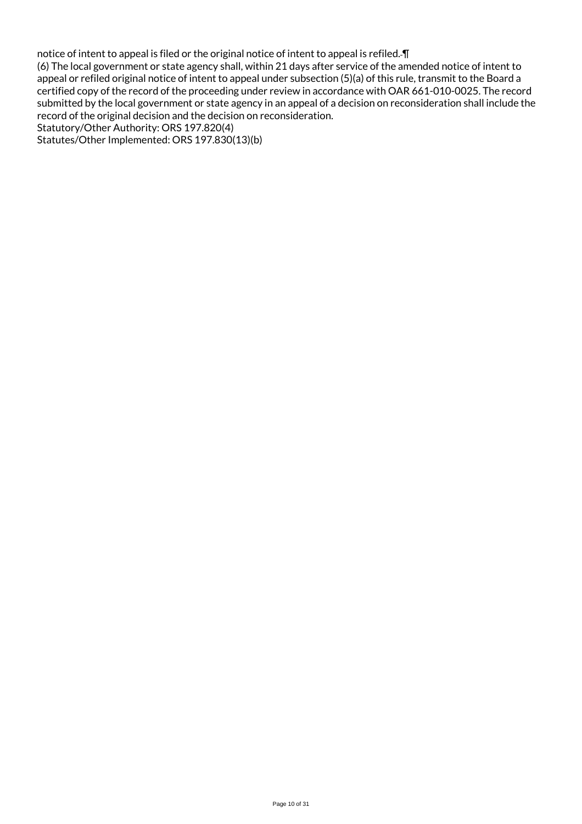notice of intent to appeal is filed or the original notice of intent to appeal is refiled. ¶ (6) The local government or state agency shall, within 21 days after service of the amended notice of intent to appeal or refiled original notice of intent to appeal under subsection (5)(a) of this rule, transmit to the Board a certified copy of the record of the proceeding under review in accordance with OAR 661-010-0025. The record submitted by the local government or state agency in an appeal of a decision on reconsideration shall include the record of the original decision and the decision on reconsideration. Statutory/Other Authority: ORS 197.820(4)

Statutes/Other Implemented: ORS 197.830(13)(b)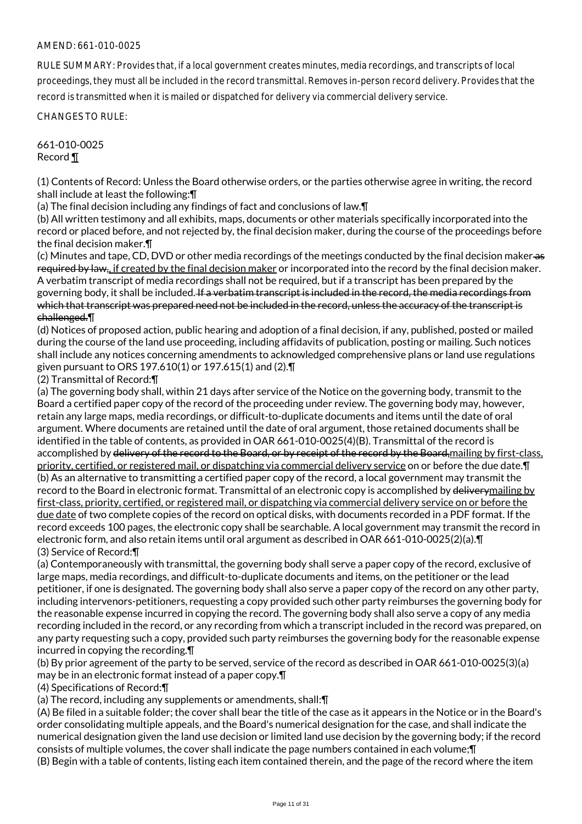RULE SUMMARY: Provides that, if a local government creates minutes, media recordings, and transcripts of local proceedings, they must all be included in the record transmittal. Removes in-person record delivery. Provides that the record is transmitted when it is mailed or dispatched for delivery via commercial delivery service.

CHANGES TO RULE:

661-010-0025 Record ¶

(1) Contents of Record: Unless the Board otherwise orders, or the parties otherwise agree in writing, the record shall include at least the following:¶

(a) The final decision including any findings of fact and conclusions of law.¶

(b) All written testimony and all exhibits, maps, documents or other materials specifically incorporated into the record or placed before, and not rejected by, the final decision maker, during the course of the proceedings before the final decision maker.¶

(c) Minutes and tape, CD, DVD or other media recordings of the meetings conducted by the final decision maker as required by law, if created by the final decision maker or incorporated into the record by the final decision maker. A verbatim transcript of media recordings shall not be required, but if a transcript has been prepared by the governing body, it shall be included. If a verbatim transcript is included in the record, the media recordings from which that transcript was prepared need not be included in the record, unless the accuracy of the transcript is challenged.¶

(d) Notices of proposed action, public hearing and adoption of a final decision, if any, published, posted or mailed during the course of the land use proceeding, including affidavits of publication, posting or mailing. Such notices shall include any notices concerning amendments to acknowledged comprehensive plans or land use regulations given pursuant to ORS 197.610(1) or 197.615(1) and (2).¶

(2) Transmittal of Record:¶

(a) The governing body shall, within 21 days after service of the Notice on the governing body, transmit to the Board a certified paper copy of the record of the proceeding under review. The governing body may, however, retain any large maps, media recordings, or difficult-to-duplicate documents and items until the date of oral argument. Where documents are retained until the date of oral argument, those retained documents shall be identified in the table of contents, as provided in OAR 661-010-0025(4)(B). Transmittal of the record is accomplished by delivery of the record to the Board, or by receipt of the record by the Board, mailing by first-class, priority, certified, or registered mail, or dispatching via commercial delivery service on or before the due date.¶ (b) As an alternative to transmitting a certified paper copy of the record, a local government may transmit the record to the Board in electronic format. Transmittal of an electronic copy is accomplished by delivery mailing by first-class, priority, certified, or registered mail, or dispatching via commercial delivery service on or before the due date of two complete copies of the record on optical disks, with documents recorded in a PDF format. If the record exceeds 100 pages, the electronic copy shall be searchable. A local government may transmit the record in electronic form, and also retain items until oral argument as described in OAR 661-010-0025(2)(a).¶ (3) Service of Record:¶

(a) Contemporaneously with transmittal, the governing body shall serve a paper copy of the record, exclusive of large maps, media recordings, and difficult-to-duplicate documents and items, on the petitioner or the lead petitioner, if one is designated. The governing body shall also serve a paper copy of the record on any other party, including intervenors-petitioners, requesting a copy provided such other party reimburses the governing body for the reasonable expense incurred in copying the record. The governing body shall also serve a copy of any media recording included in the record, or any recording from which a transcript included in the record was prepared, on any party requesting such a copy, provided such party reimburses the governing body for the reasonable expense incurred in copying the recording.¶

(b) By prior agreement of the party to be served, service of the record as described in OAR 661-010-0025(3)(a) may be in an electronic format instead of a paper copy.¶

(4) Specifications of Record:¶

(a) The record, including any supplements or amendments, shall:¶

(A) Be filed in a suitable folder; the cover shall bear the title of the case as it appears in the Notice or in the Board's order consolidating multiple appeals, and the Board's numerical designation for the case, and shall indicate the numerical designation given the land use decision or limited land use decision by the governing body; if the record consists of multiple volumes, the cover shall indicate the page numbers contained in each volume;¶ (B) Begin with a table of contents, listing each item contained therein, and the page of the record where the item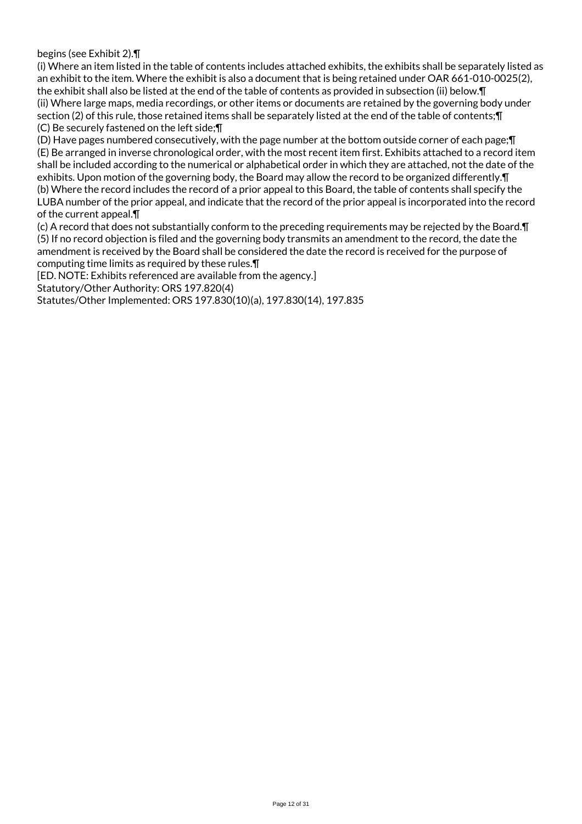begins (see Exhibit 2).¶

(i) Where an item listed in the table of contents includes attached exhibits, the exhibits shall be separately listed as an exhibit to the item. Where the exhibit is also a document that is being retained under OAR 661-010-0025(2), the exhibit shall also be listed at the end of the table of contents as provided in subsection (ii) below.¶ (ii) Where large maps, media recordings, or other items or documents are retained by the governing body under section (2) of this rule, those retained items shall be separately listed at the end of the table of contents; [ (C) Be securely fastened on the left side;¶

(D) Have pages numbered consecutively, with the page number at the bottom outside corner of each page;¶ (E) Be arranged in inverse chronological order, with the most recent item first. Exhibits attached to a record item shall be included according to the numerical or alphabetical order in which they are attached, not the date of the exhibits. Upon motion of the governing body, the Board may allow the record to be organized differently.¶ (b) Where the record includes the record of a prior appeal to this Board, the table of contents shall specify the LUBA number of the prior appeal, and indicate that the record of the prior appeal is incorporated into the record of the current appeal.¶

(c) A record that does not substantially conform to the preceding requirements may be rejected by the Board.¶ (5) If no record objection is filed and the governing body transmits an amendment to the record, the date the amendment is received by the Board shall be considered the date the record is received for the purpose of computing time limits as required by these rules.¶

[ED. NOTE: Exhibits referenced are available from the agency.]

Statutory/Other Authority: ORS 197.820(4)

Statutes/Other Implemented: ORS 197.830(10)(a), 197.830(14), 197.835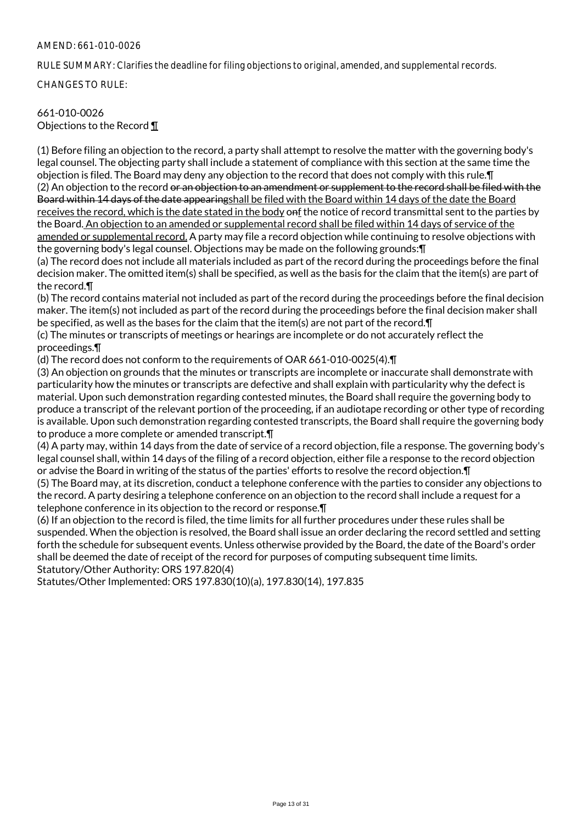RULE SUMMARY: Clarifies the deadline for filing objections to original, amended, and supplemental records.

CHANGES TO RULE:

#### 661-010-0026 Objections to the Record ¶

(1) Before filing an objection to the record, a party shall attempt to resolve the matter with the governing body's legal counsel. The objecting party shall include a statement of compliance with this section at the same time the objection is filed. The Board may deny any objection to the record that does not comply with this rule.¶ (2) An objection to the record or an objection to an amendment or supplement to the record shall be filed with the Board within 14 days of the date appearingshall be filed with the Board within 14 days of the date the Board receives the record, which is the date stated in the body onf the notice of record transmittal sent to the parties by the Board. An objection to an amended or supplemental record shall be filed within 14 days of service of the amended or supplemental record. A party may file a record objection while continuing to resolve objections with the governing body's legal counsel. Objections may be made on the following grounds:¶

(a) The record does not include all materials included as part of the record during the proceedings before the final decision maker. The omitted item(s) shall be specified, as well as the basis for the claim that the item(s) are part of the record.¶

(b) The record contains material not included as part of the record during the proceedings before the final decision maker. The item(s) not included as part of the record during the proceedings before the final decision maker shall be specified, as well as the bases for the claim that the item(s) are not part of the record.¶

(c) The minutes or transcripts of meetings or hearings are incomplete or do not accurately reflect the proceedings.¶

(d) The record does not conform to the requirements of OAR 661-010-0025(4).¶

(3) An objection on grounds that the minutes or transcripts are incomplete or inaccurate shall demonstrate with particularity how the minutes or transcripts are defective and shall explain with particularity why the defect is material. Upon such demonstration regarding contested minutes, the Board shall require the governing body to produce a transcript of the relevant portion of the proceeding, if an audiotape recording or other type of recording is available. Upon such demonstration regarding contested transcripts, the Board shall require the governing body to produce a more complete or amended transcript.¶

(4) A party may, within 14 days from the date of service of a record objection, file a response. The governing body's legal counsel shall, within 14 days of the filing of a record objection, either file a response to the record objection or advise the Board in writing of the status of the parties' efforts to resolve the record objection.¶

(5) The Board may, at its discretion, conduct a telephone conference with the parties to consider any objections to the record. A party desiring a telephone conference on an objection to the record shall include a request for a telephone conference in its objection to the record or response.¶

(6) If an objection to the record is filed, the time limits for all further procedures under these rules shall be suspended. When the objection is resolved, the Board shall issue an order declaring the record settled and setting forth the schedule for subsequent events. Unless otherwise provided by the Board, the date of the Board's order shall be deemed the date of receipt of the record for purposes of computing subsequent time limits. Statutory/Other Authority: ORS 197.820(4)

Statutes/Other Implemented: ORS 197.830(10)(a), 197.830(14), 197.835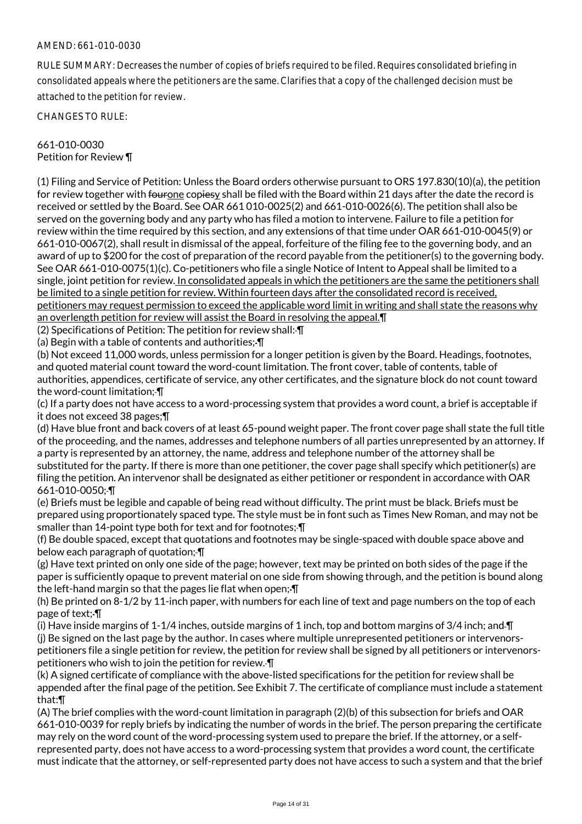RULE SUMMARY: Decreases the number of copies of briefs required to be filed. Requires consolidated briefing in consolidated appeals where the petitioners are the same. Clarifies that a copy of the challenged decision must be attached to the petition for review.

CHANGES TO RULE:

## 661-010-0030 Petition for Review ¶

(1) Filing and Service of Petition: Unless the Board orders otherwise pursuant to ORS 197.830(10)(a), the petition for review together with fourone copiesy shall be filed with the Board within 21 days after the date the record is received or settled by the Board. See OAR 661 010-0025(2) and 661-010-0026(6). The petition shall also be served on the governing body and any party who has filed a motion to intervene. Failure to file a petition for review within the time required by this section, and any extensions of that time under OAR 661-010-0045(9) or 661-010-0067(2), shall result in dismissal of the appeal, forfeiture of the filing fee to the governing body, and an award of up to \$200 for the cost of preparation of the record payable from the petitioner(s) to the governing body. See OAR 661-010-0075(1)(c). Co-petitioners who file a single Notice of Intent to Appeal shall be limited to a single, joint petition for review. In consolidated appeals in which the petitioners are the same the petitioners shall be limited to a single petition for review. Within fourteen days after the consolidated record is received, petitioners may request permission to exceed the applicable word limit in writing and shall state the reasons why an overlength petition for review will assist the Board in resolving the appeal.¶

(2) Specifications of Petition: The petition for review shall: ¶

(a) Begin with a table of contents and authorities;-

(b) Not exceed 11,000 words, unless permission for a longer petition is given by the Board. Headings, footnotes, and quoted material count toward the word-count limitation. The front cover, table of contents, table of authorities, appendices, certificate of service, any other certificates, and the signature block do not count toward the word-count limitation; ¶

(c) If a party does not have access to a word-processing system that provides a word count, a brief is acceptable if it does not exceed 38 pages;¶

(d) Have blue front and back covers of at least 65-pound weight paper. The front cover page shall state the full title of the proceeding, and the names, addresses and telephone numbers of all parties unrepresented by an attorney. If a party is represented by an attorney, the name, address and telephone number of the attorney shall be substituted for the party. If there is more than one petitioner, the cover page shall specify which petitioner(s) are filing the petition. An intervenor shall be designated as either petitioner or respondent in accordance with OAR 661-010-0050; ¶

(e) Briefs must be legible and capable of being read without difficulty. The print must be black. Briefs must be prepared using proportionately spaced type. The style must be in font such as Times New Roman, and may not be smaller than 14-point type both for text and for footnotes; ¶

(f) Be double spaced, except that quotations and footnotes may be single-spaced with double space above and below each paragraph of quotation; ¶

(g) Have text printed on only one side of the page; however, text may be printed on both sides of the page if the paper is sufficiently opaque to prevent material on one side from showing through, and the petition is bound along the left-hand margin so that the pages lie flat when open; ¶

(h) Be printed on 8-1/2 by 11-inch paper, with numbers for each line of text and page numbers on the top of each page of text; ¶

(i) Have inside margins of 1-1/4 inches, outside margins of 1 inch, top and bottom margins of 3/4 inch; and  $\P$ (j) Be signed on the last page by the author. In cases where multiple unrepresented petitioners or intervenorspetitioners file a single petition for review, the petition for review shall be signed by all petitioners or intervenorspetitioners who wish to join the petition for review. ¶

(k) A signed certificate of compliance with the above-listed specifications for the petition for review shall be appended after the final page of the petition. See Exhibit 7. The certificate of compliance must include a statement that:¶

(A) The brief complies with the word-count limitation in paragraph (2)(b) of this subsection for briefs and OAR 661-010-0039 for reply briefs by indicating the number of words in the brief. The person preparing the certificate may rely on the word count of the word-processing system used to prepare the brief. If the attorney, or a selfrepresented party, does not have access to a word-processing system that provides a word count, the certificate must indicate that the attorney, or self-represented party does not have access to such a system and that the brief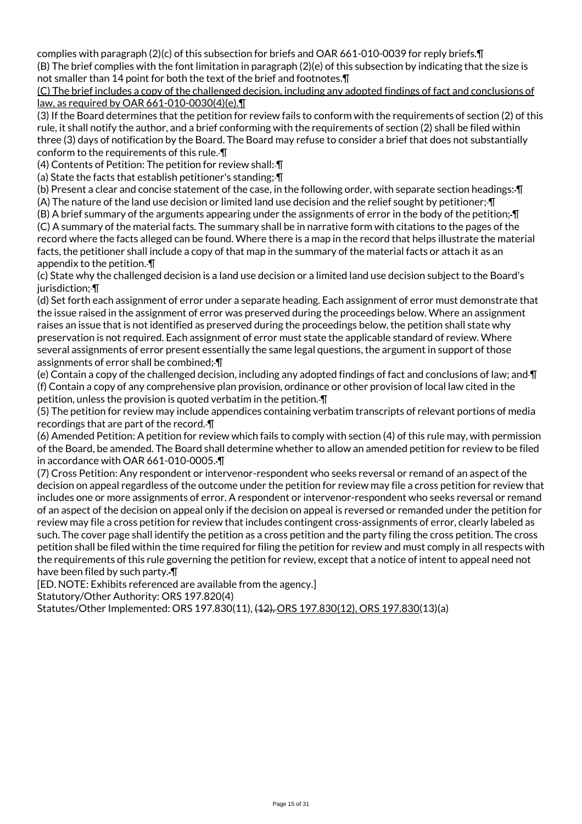complies with paragraph (2)(c) of this subsection for briefs and OAR 661-010-0039 for reply briefs.¶ (B) The brief complies with the font limitation in paragraph (2)(e) of this subsection by indicating that the size is not smaller than 14 point for both the text of the brief and footnotes.¶

#### (C) The brief includes a copy of the challenged decision, including any adopted findings of fact and conclusions of law, as required by OAR 661-010-0030(4)(e).¶

(3) If the Board determines that the petition for review fails to conform with the requirements of section (2) of this rule, it shall notify the author, and a brief conforming with the requirements of section (2) shall be filed within three (3) days of notification by the Board. The Board may refuse to consider a brief that does not substantially conform to the requirements of this rule. ¶

(4) Contents of Petition: The petition for review shall: ¶

(a) State the facts that establish petitioner's standing; ¶

(b) Present a clear and concise statement of the case, in the following order, with separate section headings: ¶

(A) The nature of the land use decision or limited land use decision and the relief sought by petitioner; ¶

(B) A brief summary of the arguments appearing under the assignments of error in the body of the petition; ¶ (C) A summary of the material facts. The summary shall be in narrative form with citations to the pages of the record where the facts alleged can be found. Where there is a map in the record that helps illustrate the material facts, the petitioner shall include a copy of that map in the summary of the material facts or attach it as an appendix to the petition. ¶

(c) State why the challenged decision is a land use decision or a limited land use decision subject to the Board's jurisdiction:- ¶

(d) Set forth each assignment of error under a separate heading. Each assignment of error must demonstrate that the issue raised in the assignment of error was preserved during the proceedings below. Where an assignment raises an issue that is not identified as preserved during the proceedings below, the petition shall state why preservation is not required. Each assignment of error must state the applicable standard of review. Where several assignments of error present essentially the same legal questions, the argument in support of those assignments of error shall be combined; ¶

(e) Contain a copy of the challenged decision, including any adopted findings of fact and conclusions of law; and ¶ (f) Contain a copy of any comprehensive plan provision, ordinance or other provision of local law cited in the petition, unless the provision is quoted verbatim in the petition. ¶

(5) The petition for review may include appendices containing verbatim transcripts of relevant portions of media recordings that are part of the record. ¶

(6) Amended Petition: A petition for review which fails to comply with section (4) of this rule may, with permission of the Board, be amended. The Board shall determine whether to allow an amended petition for review to be filed in accordance with OAR 661-010-0005. ¶

(7) Cross Petition: Any respondent or intervenor-respondent who seeks reversal or remand of an aspect of the decision on appeal regardless of the outcome under the petition for review may file a cross petition for review that includes one or more assignments of error. A respondent or intervenor-respondent who seeks reversal or remand of an aspect of the decision on appeal only if the decision on appeal is reversed or remanded under the petition for review may file a cross petition for review that includes contingent cross-assignments of error, clearly labeled as such. The cover page shall identify the petition as a cross petition and the party filing the cross petition. The cross petition shall be filed within the time required for filing the petition for review and must comply in all respects with the requirements of this rule governing the petition for review, except that a notice of intent to appeal need not have been filed by such party.  $\P$ 

[ED. NOTE: Exhibits referenced are available from the agency.]

Statutory/Other Authority: ORS 197.820(4)

Statutes/Other Implemented: ORS 197.830(11), (12), ORS 197.830(12), ORS 197.830(13)(a)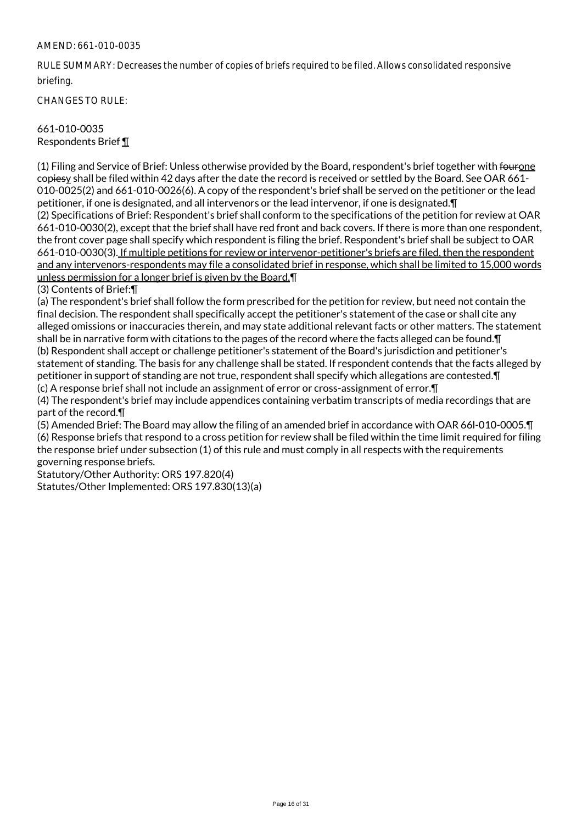RULE SUMMARY: Decreases the number of copies of briefs required to be filed. Allows consolidated responsive briefing.

CHANGES TO RULE:

## 661-010-0035 Respondents Brief ¶

(1) Filing and Service of Brief: Unless otherwise provided by the Board, respondent's brief together with fourone copiesy shall be filed within 42 days after the date the record is received or settled by the Board. See OAR 661- 010-0025(2) and 661-010-0026(6). A copy of the respondent's brief shall be served on the petitioner or the lead petitioner, if one is designated, and all intervenors or the lead intervenor, if one is designated.¶ (2) Specifications of Brief: Respondent's brief shall conform to the specifications of the petition for review at OAR 661-010-0030(2), except that the brief shall have red front and back covers. If there is more than one respondent, the front cover page shall specify which respondent is filing the brief. Respondent's brief shall be subject to OAR 661-010-0030(3). If multiple petitions for review or intervenor-petitioner's briefs are filed, then the respondent and any intervenors-respondents may file a consolidated brief in response, which shall be limited to 15,000 words unless permission for a longer brief is given by the Board.¶

(3) Contents of Brief:¶

(a) The respondent's brief shall follow the form prescribed for the petition for review, but need not contain the final decision. The respondent shall specifically accept the petitioner's statement of the case or shall cite any alleged omissions or inaccuracies therein, and may state additional relevant facts or other matters. The statement shall be in narrative form with citations to the pages of the record where the facts alleged can be found.¶ (b) Respondent shall accept or challenge petitioner's statement of the Board's jurisdiction and petitioner's statement of standing. The basis for any challenge shall be stated. If respondent contends that the facts alleged by petitioner in support of standing are not true, respondent shall specify which allegations are contested.¶ (c) A response brief shall not include an assignment of error or cross-assignment of error.¶

(4) The respondent's brief may include appendices containing verbatim transcripts of media recordings that are part of the record.¶

(5) Amended Brief: The Board may allow the filing of an amended brief in accordance with OAR 66l-010-0005.¶ (6) Response briefs that respond to a cross petition for review shall be filed within the time limit required for filing the response brief under subsection (1) of this rule and must comply in all respects with the requirements governing response briefs.

Statutory/Other Authority: ORS 197.820(4) Statutes/Other Implemented: ORS 197.830(13)(a)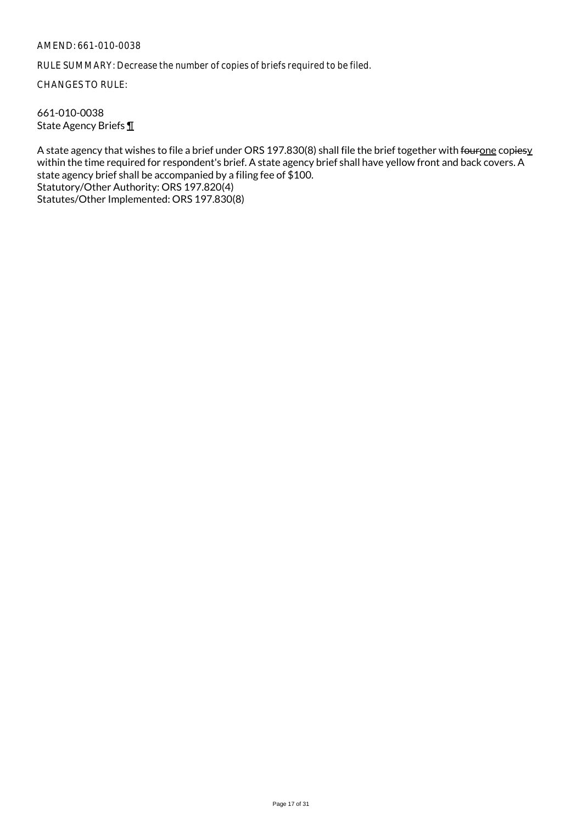RULE SUMMARY: Decrease the number of copies of briefs required to be filed.

CHANGES TO RULE:

661-010-0038 State Agency Briefs ¶

A state agency that wishes to file a brief under ORS 197.830(8) shall file the brief together with fourone copiesy within the time required for respondent's brief. A state agency brief shall have yellow front and back covers. A state agency brief shall be accompanied by a filing fee of \$100. Statutory/Other Authority: ORS 197.820(4) Statutes/Other Implemented: ORS 197.830(8)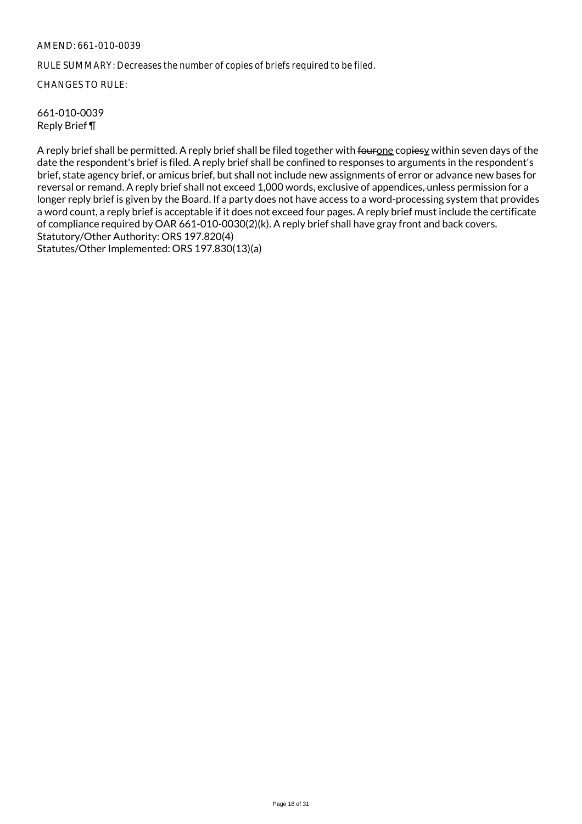RULE SUMMARY: Decreases the number of copies of briefs required to be filed.

CHANGES TO RULE:

661-010-0039 Reply Brief ¶

A reply brief shall be permitted. A reply brief shall be filed together with fourone copiesy within seven days of the date the respondent's brief is filed. A reply brief shall be confined to responses to arguments in the respondent's brief, state agency brief, or amicus brief, but shall not include new assignments of error or advance new bases for reversal or remand. A reply brief shall not exceed 1,000 words, exclusive of appendices, unless permission for a longer reply brief is given by the Board. If a party does not have access to a word-processing system that provides a word count, a reply brief is acceptable if it does not exceed four pages. A reply brief must include the certificate of compliance required by OAR 661-010-0030(2)(k). A reply brief shall have gray front and back covers. Statutory/Other Authority: ORS 197.820(4) Statutes/Other Implemented: ORS 197.830(13)(a)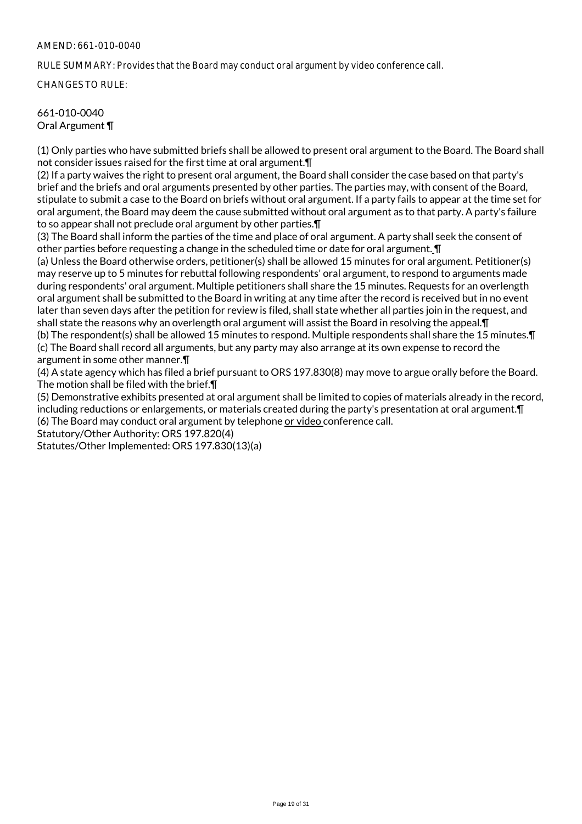RULE SUMMARY: Provides that the Board may conduct oral argument by video conference call.

CHANGES TO RULE:

#### 661-010-0040 Oral Argument ¶

(1) Only parties who have submitted briefs shall be allowed to present oral argument to the Board. The Board shall not consider issues raised for the first time at oral argument.¶

(2) If a party waives the right to present oral argument, the Board shall consider the case based on that party's brief and the briefs and oral arguments presented by other parties. The parties may, with consent of the Board, stipulate to submit a case to the Board on briefs without oral argument. If a party fails to appear at the time set for oral argument, the Board may deem the cause submitted without oral argument as to that party. A party's failure to so appear shall not preclude oral argument by other parties.¶

(3) The Board shall inform the parties of the time and place of oral argument. A party shall seek the consent of other parties before requesting a change in the scheduled time or date for oral argument. **I** 

(a) Unless the Board otherwise orders, petitioner(s) shall be allowed 15 minutes for oral argument. Petitioner(s) may reserve up to 5 minutes for rebuttal following respondents' oral argument, to respond to arguments made during respondents' oral argument. Multiple petitioners shall share the 15 minutes. Requests for an overlength oral argument shall be submitted to the Board in writing at any time after the record is received but in no event later than seven days after the petition for review is filed, shall state whether all parties join in the request, and shall state the reasons why an overlength oral argument will assist the Board in resolving the appeal.¶ (b) The respondent(s) shall be allowed 15 minutes to respond. Multiple respondents shall share the 15 minutes.¶ (c) The Board shall record all arguments, but any party may also arrange at its own expense to record the argument in some other manner.¶

(4) A state agency which has filed a brief pursuant to ORS 197.830(8) may move to argue orally before the Board. The motion shall be filed with the brief.¶

(5) Demonstrative exhibits presented at oral argument shall be limited to copies of materials already in the record, including reductions or enlargements, or materials created during the party's presentation at oral argument.¶ (6) The Board may conduct oral argument by telephone or video conference call.

Statutory/Other Authority: ORS 197.820(4)

Statutes/Other Implemented: ORS 197.830(13)(a)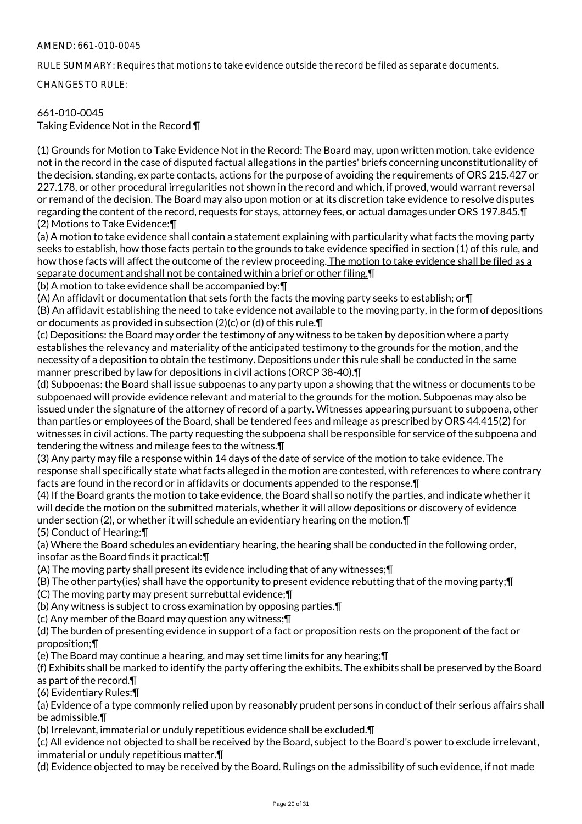RULE SUMMARY: Requires that motions to take evidence outside the record be filed as separate documents.

CHANGES TO RULE:

# 661-010-0045

Taking Evidence Not in the Record ¶

(1) Grounds for Motion to Take Evidence Not in the Record: The Board may, upon written motion, take evidence not in the record in the case of disputed factual allegations in the parties' briefs concerning unconstitutionality of the decision, standing, ex parte contacts, actions for the purpose of avoiding the requirements of ORS 215.427 or 227.178, or other procedural irregularities not shown in the record and which, if proved, would warrant reversal or remand of the decision. The Board may also upon motion or at its discretion take evidence to resolve disputes regarding the content of the record, requests for stays, attorney fees, or actual damages under ORS 197.845.¶ (2) Motions to Take Evidence:¶

(a) A motion to take evidence shall contain a statement explaining with particularity what facts the moving party seeks to establish, how those facts pertain to the grounds to take evidence specified in section (1) of this rule, and how those facts will affect the outcome of the review proceeding. The motion to take evidence shall be filed as a separate document and shall not be contained within a brief or other filing.¶

(b) A motion to take evidence shall be accompanied by:¶

(A) An affidavit or documentation that sets forth the facts the moving party seeks to establish; or¶

(B) An affidavit establishing the need to take evidence not available to the moving party, in the form of depositions or documents as provided in subsection (2)(c) or (d) of this rule.¶

(c) Depositions: the Board may order the testimony of any witness to be taken by deposition where a party establishes the relevancy and materiality of the anticipated testimony to the grounds for the motion, and the necessity of a deposition to obtain the testimony. Depositions under this rule shall be conducted in the same manner prescribed by law for depositions in civil actions (ORCP 38-40).¶

(d) Subpoenas: the Board shall issue subpoenas to any party upon a showing that the witness or documents to be subpoenaed will provide evidence relevant and material to the grounds for the motion. Subpoenas may also be issued under the signature of the attorney of record of a party. Witnesses appearing pursuant to subpoena, other than parties or employees of the Board, shall be tendered fees and mileage as prescribed by ORS 44.415(2) for witnesses in civil actions. The party requesting the subpoena shall be responsible for service of the subpoena and tendering the witness and mileage fees to the witness.¶

(3) Any party may file a response within 14 days of the date of service of the motion to take evidence. The response shall specifically state what facts alleged in the motion are contested, with references to where contrary facts are found in the record or in affidavits or documents appended to the response.¶

(4) If the Board grants the motion to take evidence, the Board shall so notify the parties, and indicate whether it will decide the motion on the submitted materials, whether it will allow depositions or discovery of evidence under section (2), or whether it will schedule an evidentiary hearing on the motion.¶

(5) Conduct of Hearing:¶

(a) Where the Board schedules an evidentiary hearing, the hearing shall be conducted in the following order, insofar as the Board finds it practical:¶

- (A) The moving party shall present its evidence including that of any witnesses;¶
- (B) The other party(ies) shall have the opportunity to present evidence rebutting that of the moving party;¶
- (C) The moving party may present surrebuttal evidence;¶
- (b) Any witness is subject to cross examination by opposing parties.¶
- (c) Any member of the Board may question any witness;¶

(d) The burden of presenting evidence in support of a fact or proposition rests on the proponent of the fact or proposition;¶

(e) The Board may continue a hearing, and may set time limits for any hearing;¶

(f) Exhibits shall be marked to identify the party offering the exhibits. The exhibits shall be preserved by the Board as part of the record.¶

(6) Evidentiary Rules:¶

(a) Evidence of a type commonly relied upon by reasonably prudent persons in conduct of their serious affairs shall be admissible.¶

(b) Irrelevant, immaterial or unduly repetitious evidence shall be excluded.¶

(c) All evidence not objected to shall be received by the Board, subject to the Board's power to exclude irrelevant, immaterial or unduly repetitious matter.¶

(d) Evidence objected to may be received by the Board. Rulings on the admissibility of such evidence, if not made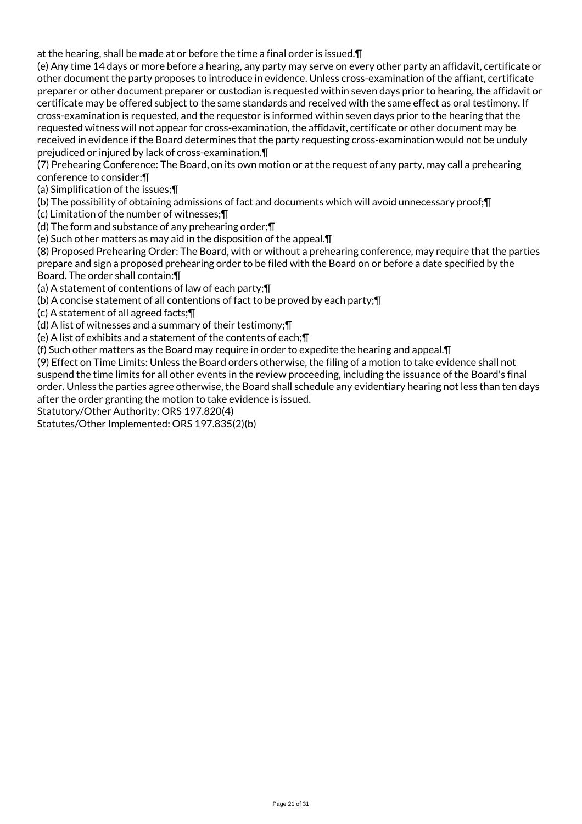at the hearing, shall be made at or before the time a final order is issued.¶

(e) Any time 14 days or more before a hearing, any party may serve on every other party an affidavit, certificate or other document the party proposes to introduce in evidence. Unless cross-examination of the affiant, certificate preparer or other document preparer or custodian is requested within seven days prior to hearing, the affidavit or certificate may be offered subject to the same standards and received with the same effect as oral testimony. If cross-examination is requested, and the requestor is informed within seven days prior to the hearing that the requested witness will not appear for cross-examination, the affidavit, certificate or other document may be received in evidence if the Board determines that the party requesting cross-examination would not be unduly prejudiced or injured by lack of cross-examination.¶

(7) Prehearing Conference: The Board, on its own motion or at the request of any party, may call a prehearing conference to consider:¶

(a) Simplification of the issues;¶

(b) The possibility of obtaining admissions of fact and documents which will avoid unnecessary proof;¶

(c) Limitation of the number of witnesses;¶

(d) The form and substance of any prehearing order;¶

(e) Such other matters as may aid in the disposition of the appeal.¶

(8) Proposed Prehearing Order: The Board, with or without a prehearing conference, may require that the parties prepare and sign a proposed prehearing order to be filed with the Board on or before a date specified by the Board. The order shall contain:¶

(a) A statement of contentions of law of each party;¶

(b) A concise statement of all contentions of fact to be proved by each party;¶

(c) A statement of all agreed facts;¶

(d) A list of witnesses and a summary of their testimony;¶

(e) A list of exhibits and a statement of the contents of each;¶

(f) Such other matters as the Board may require in order to expedite the hearing and appeal.¶

(9) Effect on Time Limits: Unless the Board orders otherwise, the filing of a motion to take evidence shall not suspend the time limits for all other events in the review proceeding, including the issuance of the Board's final order. Unless the parties agree otherwise, the Board shall schedule any evidentiary hearing not less than ten days after the order granting the motion to take evidence is issued.

Statutory/Other Authority: ORS 197.820(4)

Statutes/Other Implemented: ORS 197.835(2)(b)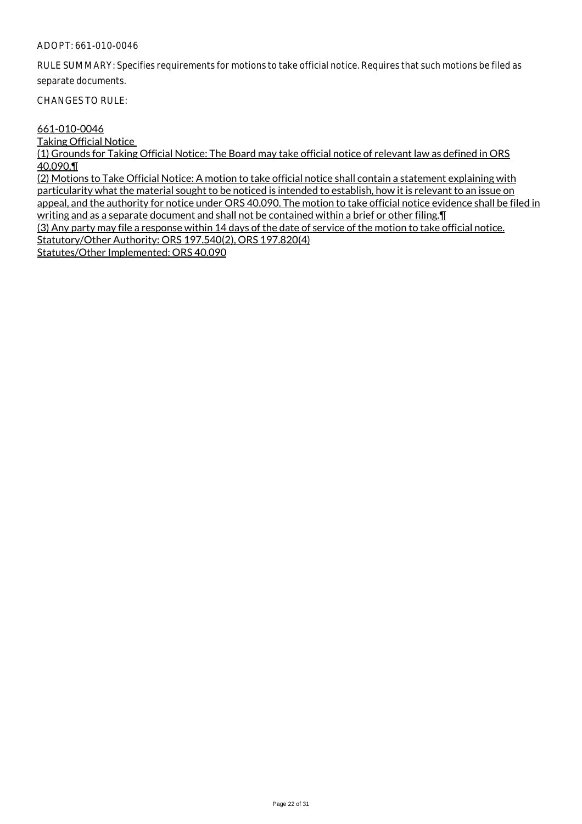## ADOPT: 661-010-0046

RULE SUMMARY: Specifies requirements for motions to take official notice. Requires that such motions be filed as separate documents.

CHANGES TO RULE:

#### 661-010-0046

Taking Official Notice

(1) Grounds for Taking Official Notice: The Board may take official notice of relevant law as defined in ORS 40.090.¶

(2) Motions to Take Official Notice: A motion to take official notice shall contain a statement explaining with particularity what the material sought to be noticed is intended to establish, how it is relevant to an issue on appeal, and the authority for notice under ORS 40.090. The motion to take official notice evidence shall be filed in writing and as a separate document and shall not be contained within a brief or other filing. I (3) Any party may file a response within 14 days of the date of service of the motion to take official notice. Statutory/Other Authority: ORS 197.540(2), ORS 197.820(4)

Statutes/Other Implemented: ORS 40.090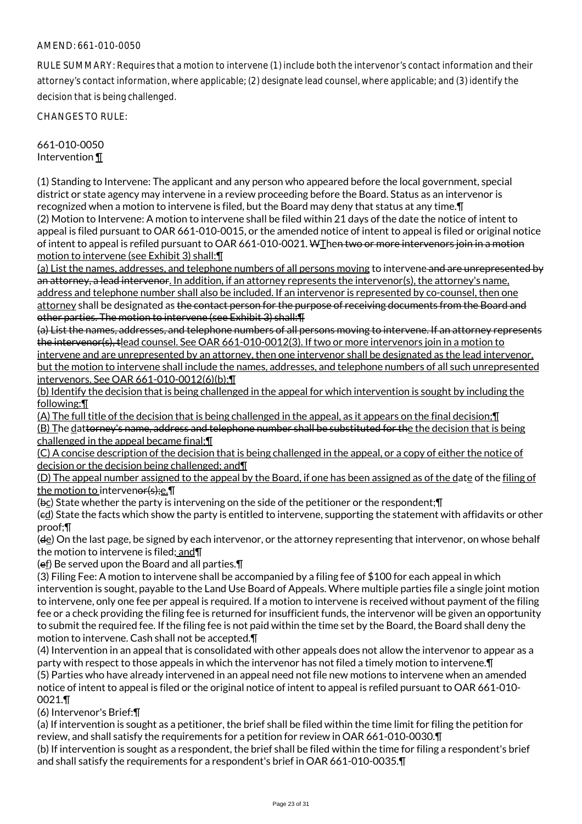RULE SUMMARY: Requires that a motion to intervene (1) include both the intervenor's contact information and their attorney's contact information, where applicable; (2) designate lead counsel, where applicable; and (3) identify the decision that is being challenged.

CHANGES TO RULE:

#### 661-010-0050 Intervention ¶

(1) Standing to Intervene: The applicant and any person who appeared before the local government, special district or state agency may intervene in a review proceeding before the Board. Status as an intervenor is recognized when a motion to intervene is filed, but the Board may deny that status at any time.¶ (2) Motion to Intervene: A motion to intervene shall be filed within 21 days of the date the notice of intent to appeal is filed pursuant to OAR 661-010-0015, or the amended notice of intent to appeal is filed or original notice of intent to appeal is refiled pursuant to OAR 661-010-0021. WThen two or more intervenors join in a motion motion to intervene (see Exhibit 3) shall:¶

(a) List the names, addresses, and telephone numbers of all persons moving to intervene and are unrepresented by an attorney, a lead intervenor. In addition, if an attorney represents the intervenor(s), the attorney's name, address and telephone number shall also be included. If an intervenor is represented by co-counsel, then one attorney shall be designated as the contact person for the purpose of receiving documents from the Board and other parties. The motion to intervene (see Exhibit 3) shall:¶

(a) List the names, addresses, and telephone numbers of all persons moving to intervene. If an attorney represents the intervenor(s), tlead counsel. See OAR 661-010-0012(3). If two or more intervenors join in a motion to intervene and are unrepresented by an attorney, then one intervenor shall be designated as the lead intervenor, but the motion to intervene shall include the names, addresses, and telephone numbers of all such unrepresented intervenors. See OAR 661-010-0012(6)(b);¶

(b) Identify the decision that is being challenged in the appeal for which intervention is sought by including the following:¶

(A) The full title of the decision that is being challenged in the appeal, as it appears on the final decision;¶ (B) The dattorney's name, address and telephone number shall be substituted for the the decision that is being challenged in the appeal became final;¶

(C) A concise description of the decision that is being challenged in the appeal, or a copy of either the notice of decision or the decision being challenged; and¶

(D) The appeal number assigned to the appeal by the Board, if one has been assigned as of the date of the filing of the motion to intervener(s);e.¶

(bc) State whether the party is intervening on the side of the petitioner or the respondent;¶

(ed) State the facts which show the party is entitled to intervene, supporting the statement with affidavits or other proof;¶

(de) On the last page, be signed by each intervenor, or the attorney representing that intervenor, on whose behalf the motion to intervene is filed; and¶

(ef) Be served upon the Board and all parties.¶

(3) Filing Fee: A motion to intervene shall be accompanied by a filing fee of \$100 for each appeal in which intervention is sought, payable to the Land Use Board of Appeals. Where multiple parties file a single joint motion to intervene, only one fee per appeal is required. If a motion to intervene is received without payment of the filing fee or a check providing the filing fee is returned for insufficient funds, the intervenor will be given an opportunity to submit the required fee. If the filing fee is not paid within the time set by the Board, the Board shall deny the motion to intervene. Cash shall not be accepted.¶

(4) Intervention in an appeal that is consolidated with other appeals does not allow the intervenor to appear as a party with respect to those appeals in which the intervenor has not filed a timely motion to intervene.¶ (5) Parties who have already intervened in an appeal need not file new motions to intervene when an amended notice of intent to appeal is filed or the original notice of intent to appeal is refiled pursuant to OAR 661-010- 0021.¶

(6) Intervenor's Brief:¶

(a) If intervention is sought as a petitioner, the brief shall be filed within the time limit for filing the petition for review, and shall satisfy the requirements for a petition for review in OAR 661-010-0030.¶

(b) If intervention is sought as a respondent, the brief shall be filed within the time for filing a respondent's brief and shall satisfy the requirements for a respondent's brief in OAR 661-010-0035.¶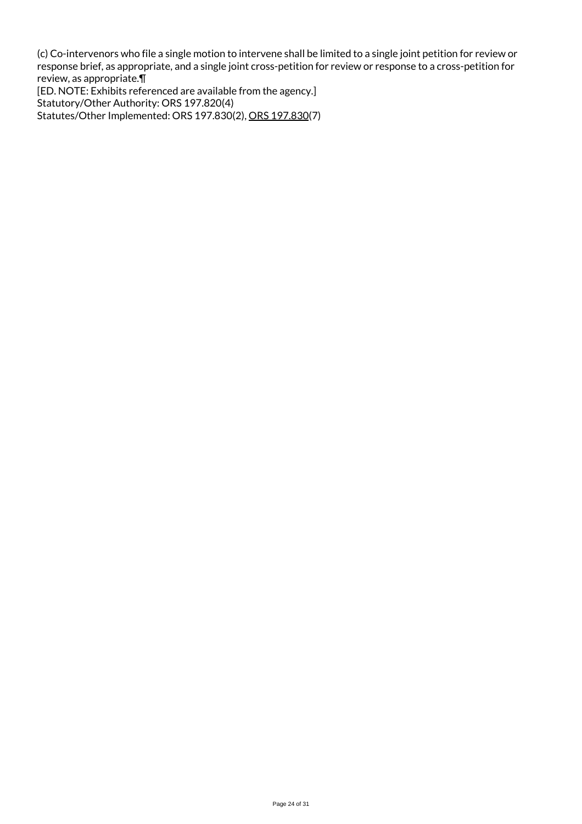(c) Co-intervenors who file a single motion to intervene shall be limited to a single joint petition for review or response brief, as appropriate, and a single joint cross-petition for review or response to a cross-petition for review, as appropriate.¶

[ED. NOTE: Exhibits referenced are available from the agency.] Statutory/Other Authority: ORS 197.820(4) Statutes/Other Implemented: ORS 197.830(2), ORS 197.830(7)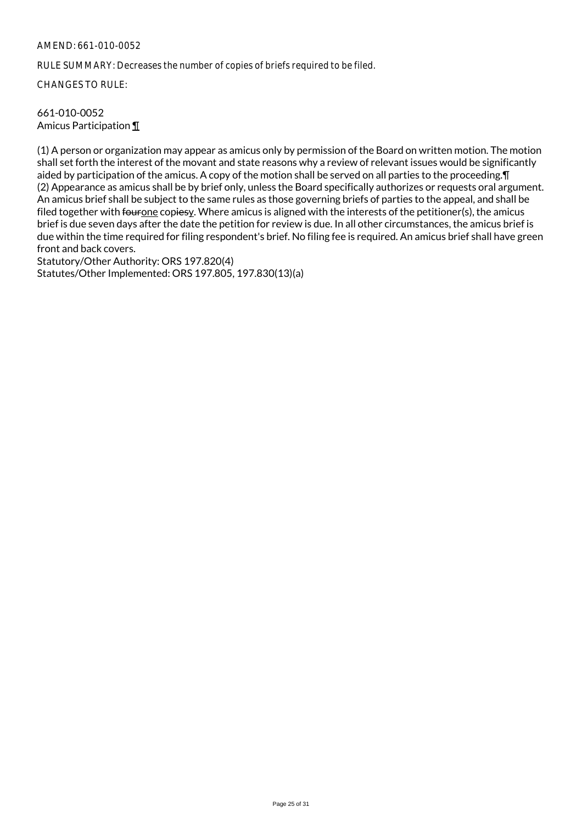RULE SUMMARY: Decreases the number of copies of briefs required to be filed.

CHANGES TO RULE:

#### 661-010-0052 Amicus Participation ¶

(1) A person or organization may appear as amicus only by permission of the Board on written motion. The motion shall set forth the interest of the movant and state reasons why a review of relevant issues would be significantly aided by participation of the amicus. A copy of the motion shall be served on all parties to the proceeding.¶ (2) Appearance as amicus shall be by brief only, unless the Board specifically authorizes or requests oral argument. An amicus brief shall be subject to the same rules as those governing briefs of parties to the appeal, and shall be filed together with fourone copiesy. Where amicus is aligned with the interests of the petitioner(s), the amicus brief is due seven days after the date the petition for review is due. In all other circumstances, the amicus brief is due within the time required for filing respondent's brief. No filing fee is required. An amicus brief shall have green front and back covers.

Statutory/Other Authority: ORS 197.820(4) Statutes/Other Implemented: ORS 197.805, 197.830(13)(a)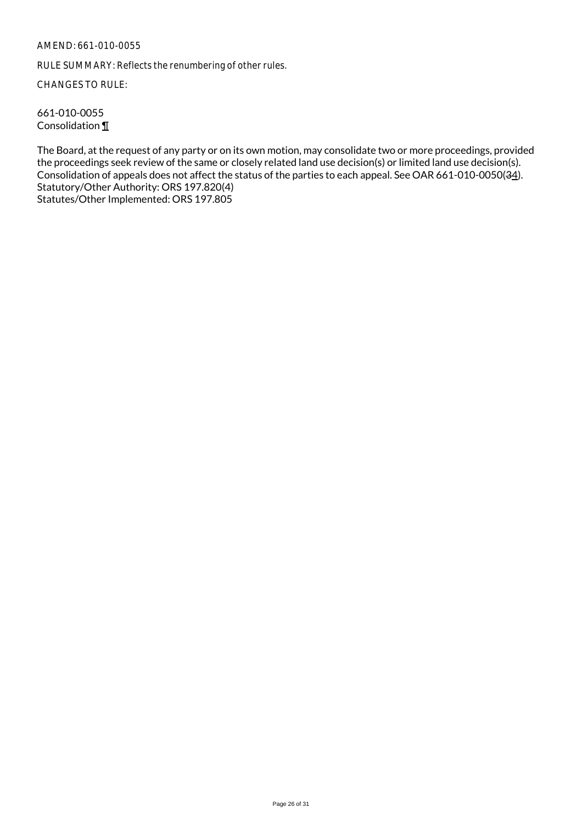RULE SUMMARY: Reflects the renumbering of other rules.

CHANGES TO RULE:

661-010-0055 Consolidation ¶

The Board, at the request of any party or on its own motion, may consolidate two or more proceedings, provided the proceedings seek review of the same or closely related land use decision(s) or limited land use decision(s). Consolidation of appeals does not affect the status of the parties to each appeal. See OAR 661-010-0050(34). Statutory/Other Authority: ORS 197.820(4) Statutes/Other Implemented: ORS 197.805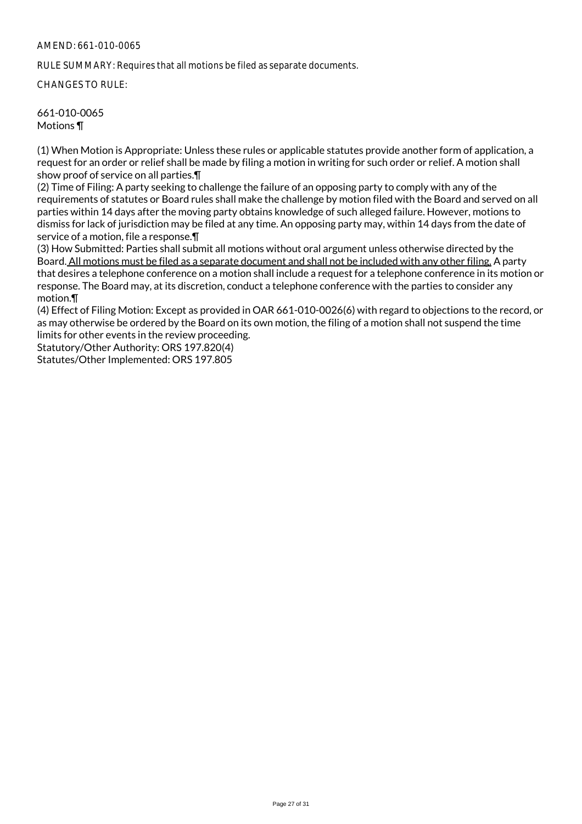RULE SUMMARY: Requires that all motions be filed as separate documents.

CHANGES TO RULE:

661-010-0065 Motions ¶

(1) When Motion is Appropriate: Unless these rules or applicable statutes provide another form of application, a request for an order or relief shall be made by filing a motion in writing for such order or relief. A motion shall show proof of service on all parties.¶

(2) Time of Filing: A party seeking to challenge the failure of an opposing party to comply with any of the requirements of statutes or Board rules shall make the challenge by motion filed with the Board and served on all parties within 14 days after the moving party obtains knowledge of such alleged failure. However, motions to dismiss for lack of jurisdiction may be filed at any time. An opposing party may, within 14 days from the date of service of a motion, file a response.¶

(3) How Submitted: Parties shall submit all motions without oral argument unless otherwise directed by the Board. All motions must be filed as a separate document and shall not be included with any other filing. A party that desires a telephone conference on a motion shall include a request for a telephone conference in its motion or response. The Board may, at its discretion, conduct a telephone conference with the parties to consider any motion.¶

(4) Effect of Filing Motion: Except as provided in OAR 661-010-0026(6) with regard to objections to the record, or as may otherwise be ordered by the Board on its own motion, the filing of a motion shall not suspend the time limits for other events in the review proceeding.

Statutory/Other Authority: ORS 197.820(4) Statutes/Other Implemented: ORS 197.805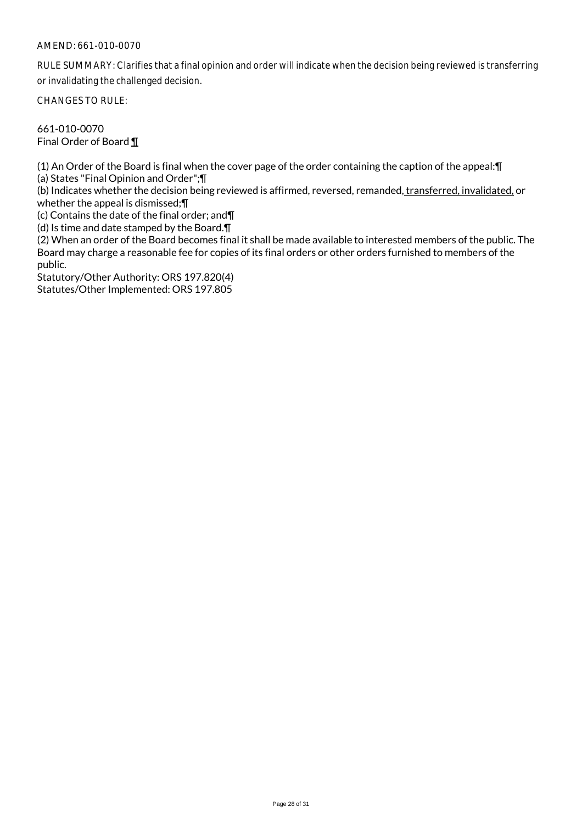RULE SUMMARY: Clarifies that a final opinion and order will indicate when the decision being reviewed is transferring or invalidating the challenged decision.

CHANGES TO RULE:

661-010-0070 Final Order of Board ¶

(1) An Order of the Board is final when the cover page of the order containing the caption of the appeal:¶

(a) States "Final Opinion and Order";¶

(b) Indicates whether the decision being reviewed is affirmed, reversed, remanded, transferred, invalidated, or whether the appeal is dismissed;¶

(c) Contains the date of the final order; and¶

(d) Is time and date stamped by the Board.¶

(2) When an order of the Board becomes final it shall be made available to interested members of the public. The Board may charge a reasonable fee for copies of its final orders or other orders furnished to members of the public.

Statutory/Other Authority: ORS 197.820(4) Statutes/Other Implemented: ORS 197.805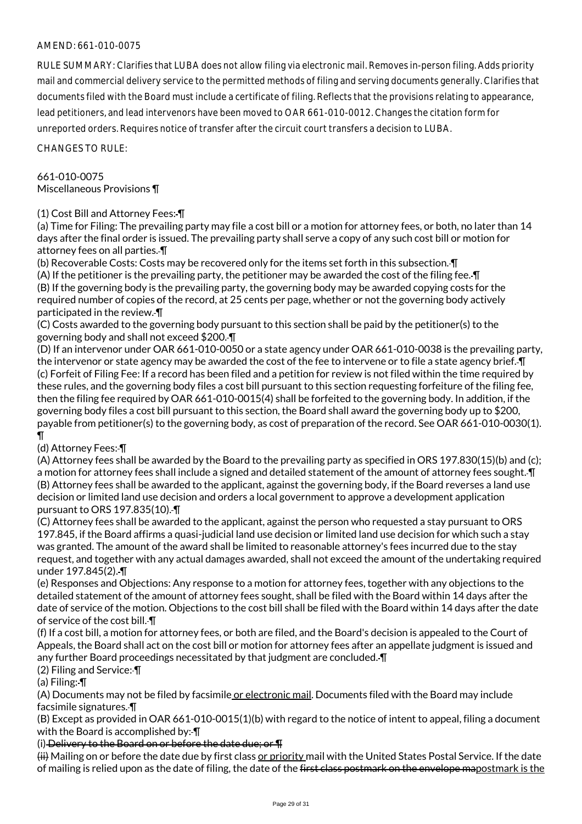RULE SUMMARY: Clarifies that LUBA does not allow filing via electronic mail. Removes in-person filing. Adds priority mail and commercial delivery service to the permitted methods of filing and serving documents generally. Clarifies that documents filed with the Board must include a certificate of filing. Reflects that the provisions relating to appearance, lead petitioners, and lead intervenors have been moved to OAR 661-010-0012. Changes the citation form for unreported orders. Requires notice of transfer after the circuit court transfers a decision to LUBA.

CHANGES TO RULE:

# 661-010-0075 Miscellaneous Provisions ¶

## (1) Cost Bill and Attorney Fees: ¶

(a) Time for Filing: The prevailing party may file a cost bill or a motion for attorney fees, or both, no later than 14 days after the final order is issued. The prevailing party shall serve a copy of any such cost bill or motion for attorney fees on all parties. ¶

(b) Recoverable Costs: Costs may be recovered only for the items set forth in this subsection. ¶ (A) If the petitioner is the prevailing party, the petitioner may be awarded the cost of the filing fee. ¶ (B) If the governing body is the prevailing party, the governing body may be awarded copying costs for the required number of copies of the record, at 25 cents per page, whether or not the governing body actively participated in the review. ¶

(C) Costs awarded to the governing body pursuant to this section shall be paid by the petitioner(s) to the governing body and shall not exceed \$200. ¶

(D) If an intervenor under OAR 661-010-0050 or a state agency under OAR 661-010-0038 is the prevailing party, the intervenor or state agency may be awarded the cost of the fee to intervene or to file a state agency brief. ¶ (c) Forfeit of Filing Fee: If a record has been filed and a petition for review is not filed within the time required by these rules, and the governing body files a cost bill pursuant to this section requesting forfeiture of the filing fee, then the filing fee required by OAR 661-010-0015(4) shall be forfeited to the governing body. In addition, if the governing body files a cost bill pursuant to this section, the Board shall award the governing body up to \$200, payable from petitioner(s) to the governing body, as cost of preparation of the record. See OAR 661-010-0030(1). ¶

# (d) Attorney Fees: ¶

(A) Attorney fees shall be awarded by the Board to the prevailing party as specified in ORS 197.830(15)(b) and (c); a motion for attorney fees shall include a signed and detailed statement of the amount of attorney fees sought. ¶ (B) Attorney fees shall be awarded to the applicant, against the governing body, if the Board reverses a land use decision or limited land use decision and orders a local government to approve a development application pursuant to ORS 197.835(10). ¶

(C) Attorney fees shall be awarded to the applicant, against the person who requested a stay pursuant to ORS 197.845, if the Board affirms a quasi-judicial land use decision or limited land use decision for which such a stay was granted. The amount of the award shall be limited to reasonable attorney's fees incurred due to the stay request, and together with any actual damages awarded, shall not exceed the amount of the undertaking required under 197.845(2). ¶

(e) Responses and Objections: Any response to a motion for attorney fees, together with any objections to the detailed statement of the amount of attorney fees sought, shall be filed with the Board within 14 days after the date of service of the motion. Objections to the cost bill shall be filed with the Board within 14 days after the date of service of the cost bill. ¶

(f) If a cost bill, a motion for attorney fees, or both are filed, and the Board's decision is appealed to the Court of Appeals, the Board shall act on the cost bill or motion for attorney fees after an appellate judgment is issued and any further Board proceedings necessitated by that judgment are concluded.  $\P$ 

(2) Filing and Service: ¶

(a) Filing: ¶

(A) Documents may not be filed by facsimile or electronic mail. Documents filed with the Board may include facsimile signatures. ¶

(B) Except as provided in OAR 661-010-0015(1)(b) with regard to the notice of intent to appeal, filing a document with the Board is accomplished by:- [1]

(i) Delivery to the Board on or before the date due; or ¶

(ii) Mailing on or before the date due by first class or priority mail with the United States Postal Service. If the date of mailing is relied upon as the date of filing, the date of the <del>first class postmark on the envelope ma</del>postmark is the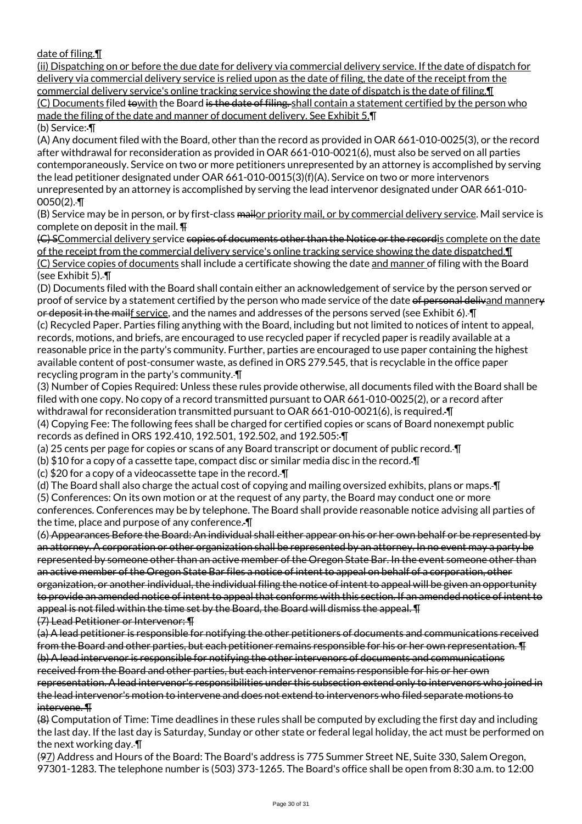date of filing.¶

(ii) Dispatching on or before the due date for delivery via commercial delivery service. If the date of dispatch for delivery via commercial delivery service is relied upon as the date of filing, the date of the receipt from the commercial delivery service's online tracking service showing the date of dispatch is the date of filing.¶ (C) Documents filed towith the Board is the date of filing. shall contain a statement certified by the person who made the filing of the date and manner of document delivery. See Exhibit 5.¶ (b) Service: ¶

(A) Any document filed with the Board, other than the record as provided in OAR 661-010-0025(3), or the record after withdrawal for reconsideration as provided in OAR 661-010-0021(6), must also be served on all parties contemporaneously. Service on two or more petitioners unrepresented by an attorney is accomplished by serving the lead petitioner designated under OAR 661-010-0015(3)(f)(A). Service on two or more intervenors unrepresented by an attorney is accomplished by serving the lead intervenor designated under OAR 661-010-  $0050(2)$ .-T

(B) Service may be in person, or by first-class mailor priority mail, or by commercial delivery service. Mail service is complete on deposit in the mail. ¶

(G) SCommercial delivery service copies of documents other than the Notice or the recordis complete on the date of the receipt from the commercial delivery service's online tracking service showing the date dispatched.¶ (C) Service copies of documents shall include a certificate showing the date and manner of filing with the Board (see Exhibit 5). ¶

(D) Documents filed with the Board shall contain either an acknowledgement of service by the person served or proof of service by a statement certified by the person who made service of the date of personal delivand mannery or deposit in the mailf service, and the names and addresses of the persons served (see Exhibit 6). ¶ (c) Recycled Paper. Parties filing anything with the Board, including but not limited to notices of intent to appeal,

records, motions, and briefs, are encouraged to use recycled paper if recycled paper is readily available at a reasonable price in the party's community. Further, parties are encouraged to use paper containing the highest available content of post-consumer waste, as defined in ORS 279.545, that is recyclable in the office paper recycling program in the party's community. ¶

(3) Number of Copies Required: Unless these rules provide otherwise, all documents filed with the Board shall be filed with one copy. No copy of a record transmitted pursuant to OAR 661-010-0025(2), or a record after withdrawal for reconsideration transmitted pursuant to OAR 661-010-0021(6), is required. T (4) Copying Fee: The following fees shall be charged for certified copies or scans of Board nonexempt public records as defined in ORS 192.410, 192.501, 192.502, and 192.505: ¶

(a) 25 cents per page for copies or scans of any Board transcript or document of public record. ¶

(b) \$10 for a copy of a cassette tape, compact disc or similar media disc in the record. ¶

(c) \$20 for a copy of a videocassette tape in the record. ¶

(d) The Board shall also charge the actual cost of copying and mailing oversized exhibits, plans or maps. ¶ (5) Conferences: On its own motion or at the request of any party, the Board may conduct one or more

conferences. Conferences may be by telephone. The Board shall provide reasonable notice advising all parties of the time, place and purpose of any conference. ¶

(6) Appearances Before the Board: An individual shall either appear on his or her own behalf or be represented by an attorney. A corporation or other organization shall be represented by an attorney. In no event may a party be represented by someone other than an active member of the Oregon State Bar. In the event someone other than an active member of the Oregon State Bar files a notice of intent to appeal on behalf of a corporation, other organization, or another individual, the individual filing the notice of intent to appeal will be given an opportunity to provide an amended notice of intent to appeal that conforms with this section. If an amended notice of intent to appeal is not filed within the time set by the Board, the Board will dismiss the appeal. ¶

(7) Lead Petitioner or Intervenor: ¶

(a) A lead petitioner is responsible for notifying the other petitioners of documents and communications received from the Board and other parties, but each petitioner remains responsible for his or her own representation. ¶ (b) A lead intervenor is responsible for notifying the other intervenors of documents and communications received from the Board and other parties, but each intervenor remains responsible for his or her own representation. A lead intervenor's responsibilities under this subsection extend only to intervenors who joined in the lead intervenor's motion to intervene and does not extend to intervenors who filed separate motions to intervene. ¶

(8) Computation of Time: Time deadlines in these rules shall be computed by excluding the first day and including the last day. If the last day is Saturday, Sunday or other state or federal legal holiday, the act must be performed on the next working day. ¶

(97) Address and Hours of the Board: The Board's address is 775 Summer Street NE, Suite 330, Salem Oregon, 97301-1283. The telephone number is (503) 373-1265. The Board's office shall be open from 8:30 a.m. to 12:00